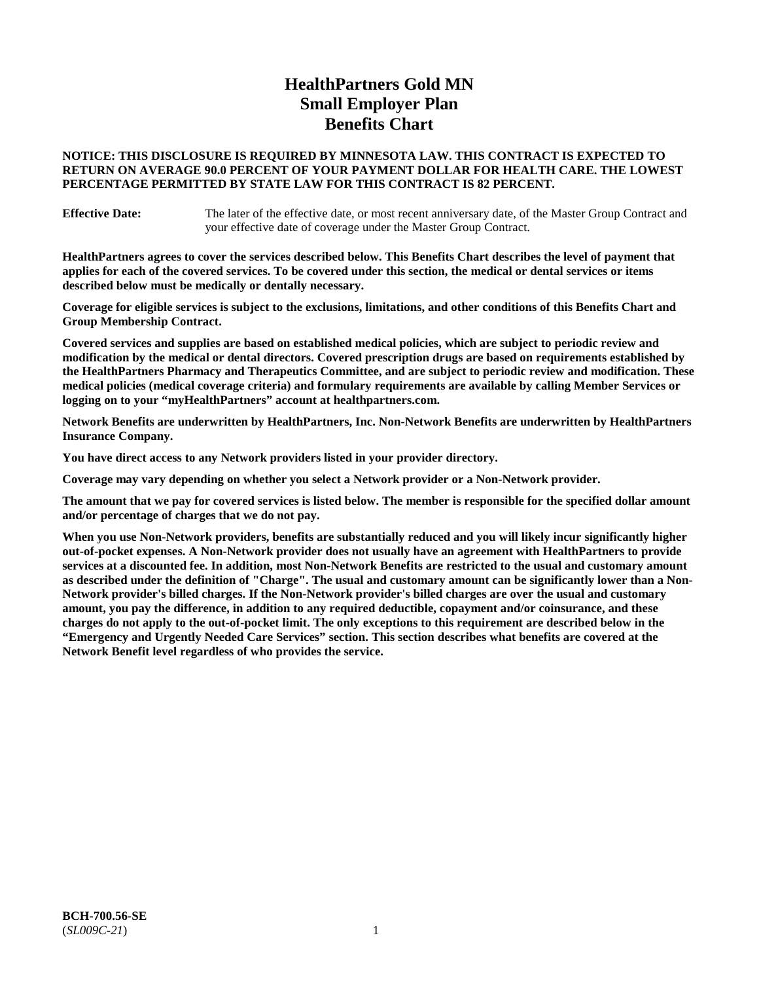# **HealthPartners Gold MN Small Employer Plan Benefits Chart**

# **NOTICE: THIS DISCLOSURE IS REQUIRED BY MINNESOTA LAW. THIS CONTRACT IS EXPECTED TO RETURN ON AVERAGE 90.0 PERCENT OF YOUR PAYMENT DOLLAR FOR HEALTH CARE. THE LOWEST PERCENTAGE PERMITTED BY STATE LAW FOR THIS CONTRACT IS 82 PERCENT.**

**Effective Date:** The later of the effective date, or most recent anniversary date, of the Master Group Contract and your effective date of coverage under the Master Group Contract.

**HealthPartners agrees to cover the services described below. This Benefits Chart describes the level of payment that applies for each of the covered services. To be covered under this section, the medical or dental services or items described below must be medically or dentally necessary.**

**Coverage for eligible services is subject to the exclusions, limitations, and other conditions of this Benefits Chart and Group Membership Contract.**

**Covered services and supplies are based on established medical policies, which are subject to periodic review and modification by the medical or dental directors. Covered prescription drugs are based on requirements established by the HealthPartners Pharmacy and Therapeutics Committee, and are subject to periodic review and modification. These medical policies (medical coverage criteria) and formulary requirements are available by calling Member Services or logging on to your "myHealthPartners" account at [healthpartners.com.](https://www.healthpartners.com/hp/index.html)**

**Network Benefits are underwritten by HealthPartners, Inc. Non-Network Benefits are underwritten by HealthPartners Insurance Company.** 

**You have direct access to any Network providers listed in your provider directory.**

**Coverage may vary depending on whether you select a Network provider or a Non-Network provider.**

**The amount that we pay for covered services is listed below. The member is responsible for the specified dollar amount and/or percentage of charges that we do not pay.**

**When you use Non-Network providers, benefits are substantially reduced and you will likely incur significantly higher out-of-pocket expenses. A Non-Network provider does not usually have an agreement with HealthPartners to provide services at a discounted fee. In addition, most Non-Network Benefits are restricted to the usual and customary amount as described under the definition of "Charge". The usual and customary amount can be significantly lower than a Non-Network provider's billed charges. If the Non-Network provider's billed charges are over the usual and customary amount, you pay the difference, in addition to any required deductible, copayment and/or coinsurance, and these charges do not apply to the out-of-pocket limit. The only exceptions to this requirement are described below in the "Emergency and Urgently Needed Care Services" section. This section describes what benefits are covered at the Network Benefit level regardless of who provides the service.**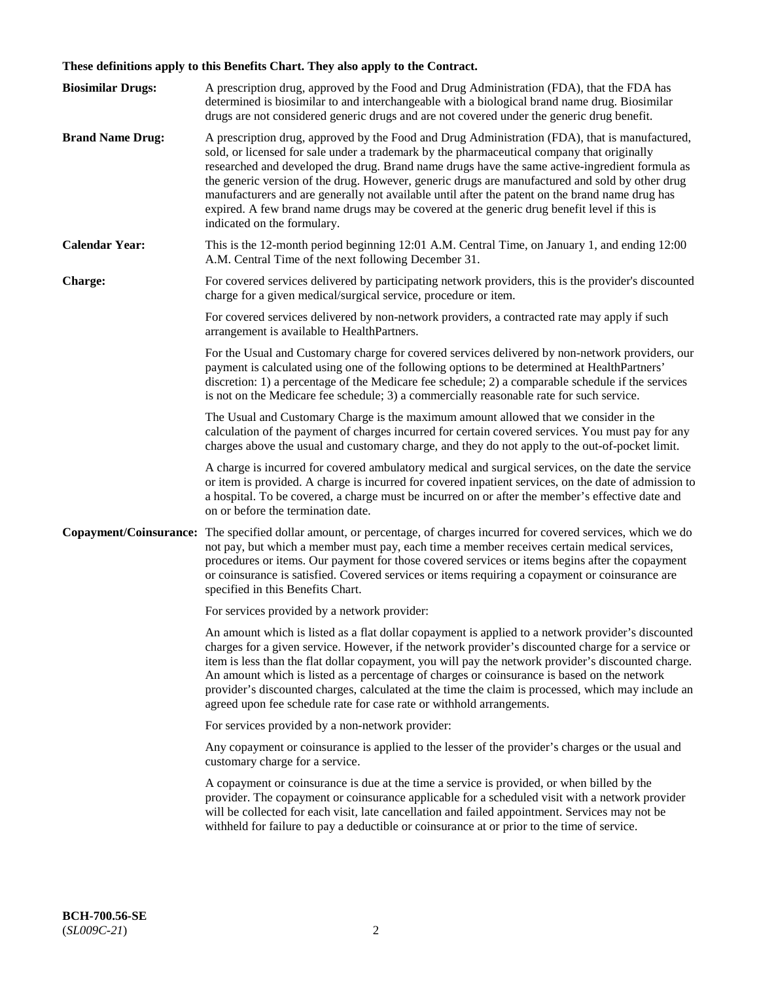# **These definitions apply to this Benefits Chart. They also apply to the Contract.**

| <b>Biosimilar Drugs:</b> | A prescription drug, approved by the Food and Drug Administration (FDA), that the FDA has<br>determined is biosimilar to and interchangeable with a biological brand name drug. Biosimilar<br>drugs are not considered generic drugs and are not covered under the generic drug benefit.                                                                                                                                                                                                                                                                                                                                           |
|--------------------------|------------------------------------------------------------------------------------------------------------------------------------------------------------------------------------------------------------------------------------------------------------------------------------------------------------------------------------------------------------------------------------------------------------------------------------------------------------------------------------------------------------------------------------------------------------------------------------------------------------------------------------|
| <b>Brand Name Drug:</b>  | A prescription drug, approved by the Food and Drug Administration (FDA), that is manufactured,<br>sold, or licensed for sale under a trademark by the pharmaceutical company that originally<br>researched and developed the drug. Brand name drugs have the same active-ingredient formula as<br>the generic version of the drug. However, generic drugs are manufactured and sold by other drug<br>manufacturers and are generally not available until after the patent on the brand name drug has<br>expired. A few brand name drugs may be covered at the generic drug benefit level if this is<br>indicated on the formulary. |
| <b>Calendar Year:</b>    | This is the 12-month period beginning 12:01 A.M. Central Time, on January 1, and ending 12:00<br>A.M. Central Time of the next following December 31.                                                                                                                                                                                                                                                                                                                                                                                                                                                                              |
| <b>Charge:</b>           | For covered services delivered by participating network providers, this is the provider's discounted<br>charge for a given medical/surgical service, procedure or item.                                                                                                                                                                                                                                                                                                                                                                                                                                                            |
|                          | For covered services delivered by non-network providers, a contracted rate may apply if such<br>arrangement is available to HealthPartners.                                                                                                                                                                                                                                                                                                                                                                                                                                                                                        |
|                          | For the Usual and Customary charge for covered services delivered by non-network providers, our<br>payment is calculated using one of the following options to be determined at HealthPartners'<br>discretion: 1) a percentage of the Medicare fee schedule; 2) a comparable schedule if the services<br>is not on the Medicare fee schedule; 3) a commercially reasonable rate for such service.                                                                                                                                                                                                                                  |
|                          | The Usual and Customary Charge is the maximum amount allowed that we consider in the<br>calculation of the payment of charges incurred for certain covered services. You must pay for any<br>charges above the usual and customary charge, and they do not apply to the out-of-pocket limit.                                                                                                                                                                                                                                                                                                                                       |
|                          | A charge is incurred for covered ambulatory medical and surgical services, on the date the service<br>or item is provided. A charge is incurred for covered inpatient services, on the date of admission to<br>a hospital. To be covered, a charge must be incurred on or after the member's effective date and<br>on or before the termination date.                                                                                                                                                                                                                                                                              |
| Copayment/Coinsurance:   | The specified dollar amount, or percentage, of charges incurred for covered services, which we do<br>not pay, but which a member must pay, each time a member receives certain medical services,<br>procedures or items. Our payment for those covered services or items begins after the copayment<br>or coinsurance is satisfied. Covered services or items requiring a copayment or coinsurance are<br>specified in this Benefits Chart.                                                                                                                                                                                        |
|                          | For services provided by a network provider:                                                                                                                                                                                                                                                                                                                                                                                                                                                                                                                                                                                       |
|                          | An amount which is listed as a flat dollar copayment is applied to a network provider's discounted<br>charges for a given service. However, if the network provider's discounted charge for a service or<br>item is less than the flat dollar copayment, you will pay the network provider's discounted charge.<br>An amount which is listed as a percentage of charges or coinsurance is based on the network<br>provider's discounted charges, calculated at the time the claim is processed, which may include an<br>agreed upon fee schedule rate for case rate or withhold arrangements.                                      |
|                          | For services provided by a non-network provider:                                                                                                                                                                                                                                                                                                                                                                                                                                                                                                                                                                                   |
|                          | Any copayment or coinsurance is applied to the lesser of the provider's charges or the usual and<br>customary charge for a service.                                                                                                                                                                                                                                                                                                                                                                                                                                                                                                |
|                          | A copayment or coinsurance is due at the time a service is provided, or when billed by the<br>provider. The copayment or coinsurance applicable for a scheduled visit with a network provider<br>will be collected for each visit, late cancellation and failed appointment. Services may not be<br>withheld for failure to pay a deductible or coinsurance at or prior to the time of service.                                                                                                                                                                                                                                    |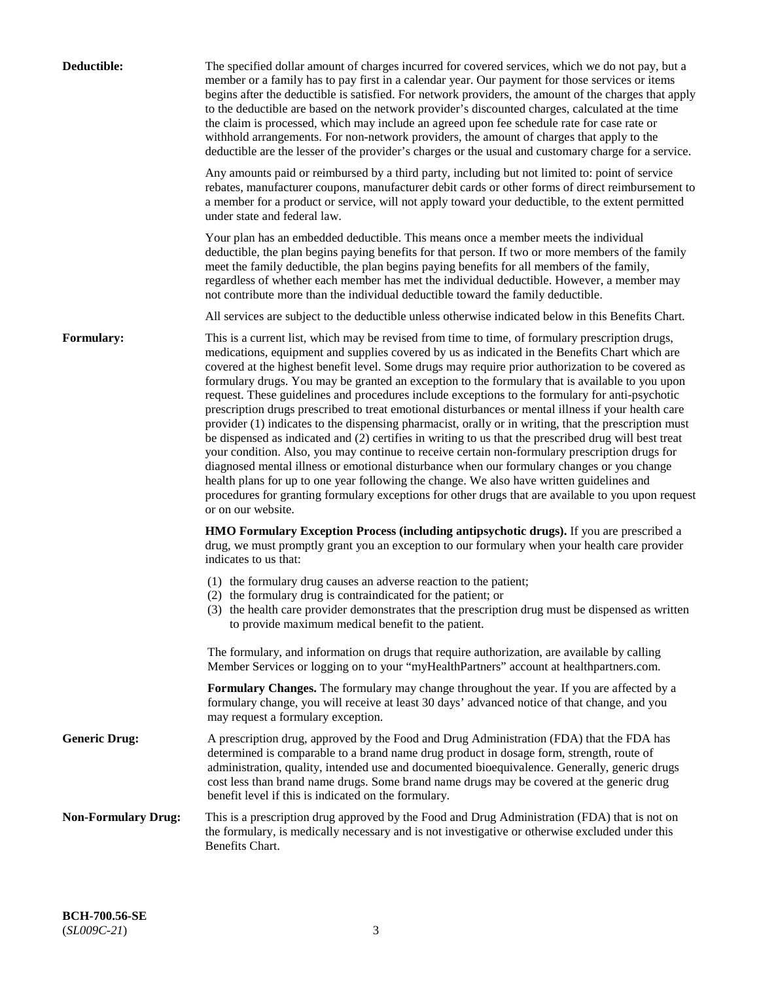| Deductible:                | The specified dollar amount of charges incurred for covered services, which we do not pay, but a<br>member or a family has to pay first in a calendar year. Our payment for those services or items<br>begins after the deductible is satisfied. For network providers, the amount of the charges that apply<br>to the deductible are based on the network provider's discounted charges, calculated at the time<br>the claim is processed, which may include an agreed upon fee schedule rate for case rate or<br>withhold arrangements. For non-network providers, the amount of charges that apply to the<br>deductible are the lesser of the provider's charges or the usual and customary charge for a service.                                                                                                                                                                                                                                                                                                                                                                                                                                                                                                                                             |
|----------------------------|------------------------------------------------------------------------------------------------------------------------------------------------------------------------------------------------------------------------------------------------------------------------------------------------------------------------------------------------------------------------------------------------------------------------------------------------------------------------------------------------------------------------------------------------------------------------------------------------------------------------------------------------------------------------------------------------------------------------------------------------------------------------------------------------------------------------------------------------------------------------------------------------------------------------------------------------------------------------------------------------------------------------------------------------------------------------------------------------------------------------------------------------------------------------------------------------------------------------------------------------------------------|
|                            | Any amounts paid or reimbursed by a third party, including but not limited to: point of service<br>rebates, manufacturer coupons, manufacturer debit cards or other forms of direct reimbursement to<br>a member for a product or service, will not apply toward your deductible, to the extent permitted<br>under state and federal law.                                                                                                                                                                                                                                                                                                                                                                                                                                                                                                                                                                                                                                                                                                                                                                                                                                                                                                                        |
|                            | Your plan has an embedded deductible. This means once a member meets the individual<br>deductible, the plan begins paying benefits for that person. If two or more members of the family<br>meet the family deductible, the plan begins paying benefits for all members of the family,<br>regardless of whether each member has met the individual deductible. However, a member may<br>not contribute more than the individual deductible toward the family deductible.                                                                                                                                                                                                                                                                                                                                                                                                                                                                                                                                                                                                                                                                                                                                                                                         |
|                            | All services are subject to the deductible unless otherwise indicated below in this Benefits Chart.                                                                                                                                                                                                                                                                                                                                                                                                                                                                                                                                                                                                                                                                                                                                                                                                                                                                                                                                                                                                                                                                                                                                                              |
| <b>Formulary:</b>          | This is a current list, which may be revised from time to time, of formulary prescription drugs,<br>medications, equipment and supplies covered by us as indicated in the Benefits Chart which are<br>covered at the highest benefit level. Some drugs may require prior authorization to be covered as<br>formulary drugs. You may be granted an exception to the formulary that is available to you upon<br>request. These guidelines and procedures include exceptions to the formulary for anti-psychotic<br>prescription drugs prescribed to treat emotional disturbances or mental illness if your health care<br>provider (1) indicates to the dispensing pharmacist, orally or in writing, that the prescription must<br>be dispensed as indicated and (2) certifies in writing to us that the prescribed drug will best treat<br>your condition. Also, you may continue to receive certain non-formulary prescription drugs for<br>diagnosed mental illness or emotional disturbance when our formulary changes or you change<br>health plans for up to one year following the change. We also have written guidelines and<br>procedures for granting formulary exceptions for other drugs that are available to you upon request<br>or on our website. |
|                            | <b>HMO Formulary Exception Process (including antipsychotic drugs).</b> If you are prescribed a<br>drug, we must promptly grant you an exception to our formulary when your health care provider<br>indicates to us that:                                                                                                                                                                                                                                                                                                                                                                                                                                                                                                                                                                                                                                                                                                                                                                                                                                                                                                                                                                                                                                        |
|                            | (1) the formulary drug causes an adverse reaction to the patient;<br>(2) the formulary drug is contraindicated for the patient; or<br>(3) the health care provider demonstrates that the prescription drug must be dispensed as written<br>to provide maximum medical benefit to the patient.                                                                                                                                                                                                                                                                                                                                                                                                                                                                                                                                                                                                                                                                                                                                                                                                                                                                                                                                                                    |
|                            | The formulary, and information on drugs that require authorization, are available by calling<br>Member Services or logging on to your "myHealthPartners" account at healthpartners.com.                                                                                                                                                                                                                                                                                                                                                                                                                                                                                                                                                                                                                                                                                                                                                                                                                                                                                                                                                                                                                                                                          |
|                            | Formulary Changes. The formulary may change throughout the year. If you are affected by a<br>formulary change, you will receive at least 30 days' advanced notice of that change, and you<br>may request a formulary exception.                                                                                                                                                                                                                                                                                                                                                                                                                                                                                                                                                                                                                                                                                                                                                                                                                                                                                                                                                                                                                                  |
| <b>Generic Drug:</b>       | A prescription drug, approved by the Food and Drug Administration (FDA) that the FDA has<br>determined is comparable to a brand name drug product in dosage form, strength, route of<br>administration, quality, intended use and documented bioequivalence. Generally, generic drugs<br>cost less than brand name drugs. Some brand name drugs may be covered at the generic drug<br>benefit level if this is indicated on the formulary.                                                                                                                                                                                                                                                                                                                                                                                                                                                                                                                                                                                                                                                                                                                                                                                                                       |
| <b>Non-Formulary Drug:</b> | This is a prescription drug approved by the Food and Drug Administration (FDA) that is not on<br>the formulary, is medically necessary and is not investigative or otherwise excluded under this<br>Benefits Chart.                                                                                                                                                                                                                                                                                                                                                                                                                                                                                                                                                                                                                                                                                                                                                                                                                                                                                                                                                                                                                                              |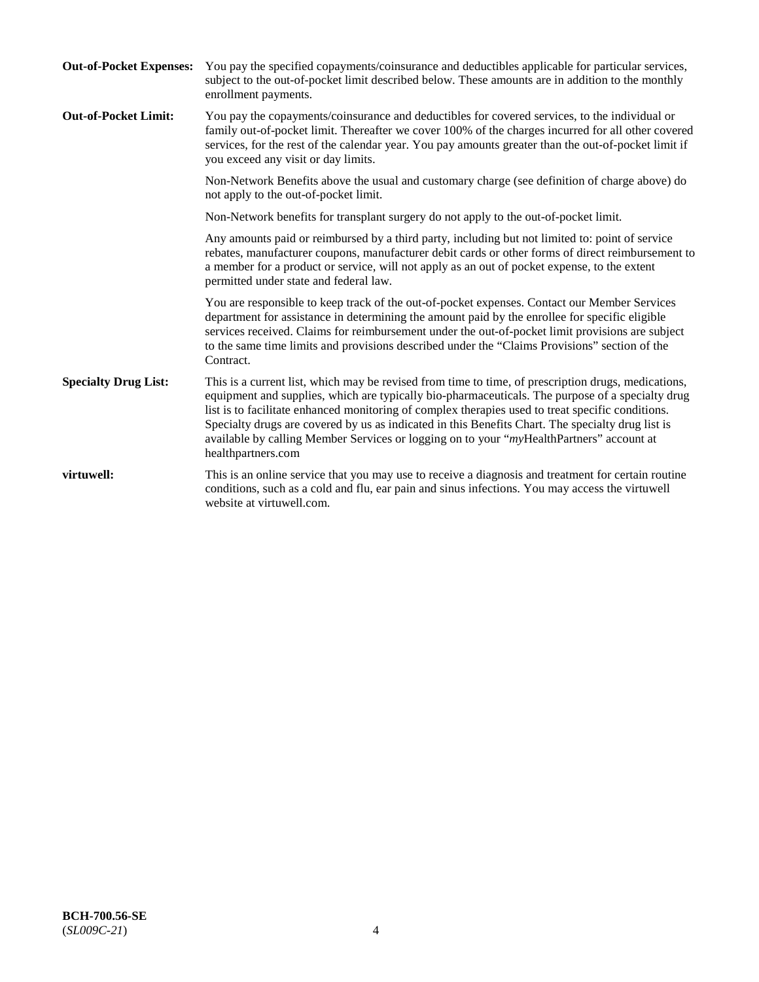| <b>Out-of-Pocket Expenses:</b> | You pay the specified copayments/coinsurance and deductibles applicable for particular services,<br>subject to the out-of-pocket limit described below. These amounts are in addition to the monthly<br>enrollment payments.                                                                                                                                                                                                                                                                                                        |
|--------------------------------|-------------------------------------------------------------------------------------------------------------------------------------------------------------------------------------------------------------------------------------------------------------------------------------------------------------------------------------------------------------------------------------------------------------------------------------------------------------------------------------------------------------------------------------|
| <b>Out-of-Pocket Limit:</b>    | You pay the copayments/coinsurance and deductibles for covered services, to the individual or<br>family out-of-pocket limit. Thereafter we cover 100% of the charges incurred for all other covered<br>services, for the rest of the calendar year. You pay amounts greater than the out-of-pocket limit if<br>you exceed any visit or day limits.                                                                                                                                                                                  |
|                                | Non-Network Benefits above the usual and customary charge (see definition of charge above) do<br>not apply to the out-of-pocket limit.                                                                                                                                                                                                                                                                                                                                                                                              |
|                                | Non-Network benefits for transplant surgery do not apply to the out-of-pocket limit.                                                                                                                                                                                                                                                                                                                                                                                                                                                |
|                                | Any amounts paid or reimbursed by a third party, including but not limited to: point of service<br>rebates, manufacturer coupons, manufacturer debit cards or other forms of direct reimbursement to<br>a member for a product or service, will not apply as an out of pocket expense, to the extent<br>permitted under state and federal law.                                                                                                                                                                                      |
|                                | You are responsible to keep track of the out-of-pocket expenses. Contact our Member Services<br>department for assistance in determining the amount paid by the enrollee for specific eligible<br>services received. Claims for reimbursement under the out-of-pocket limit provisions are subject<br>to the same time limits and provisions described under the "Claims Provisions" section of the<br>Contract.                                                                                                                    |
| <b>Specialty Drug List:</b>    | This is a current list, which may be revised from time to time, of prescription drugs, medications,<br>equipment and supplies, which are typically bio-pharmaceuticals. The purpose of a specialty drug<br>list is to facilitate enhanced monitoring of complex therapies used to treat specific conditions.<br>Specialty drugs are covered by us as indicated in this Benefits Chart. The specialty drug list is<br>available by calling Member Services or logging on to your "myHealthPartners" account at<br>healthpartners.com |
| virtuwell:                     | This is an online service that you may use to receive a diagnosis and treatment for certain routine<br>conditions, such as a cold and flu, ear pain and sinus infections. You may access the virtuwell<br>website at virtuwell.com.                                                                                                                                                                                                                                                                                                 |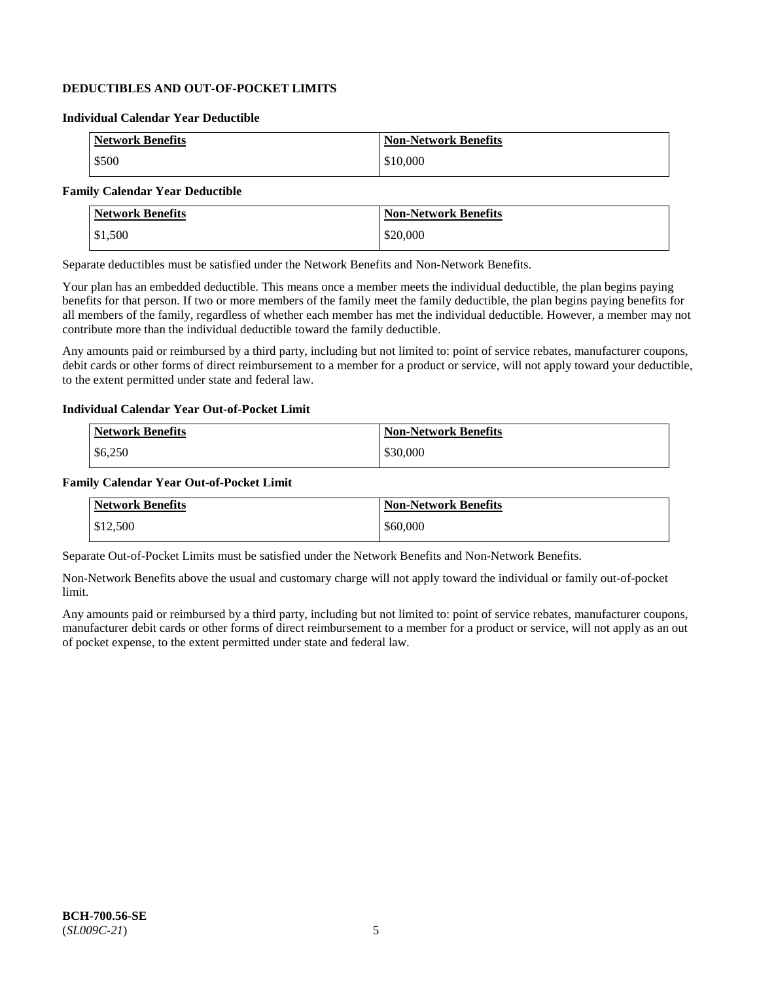# **DEDUCTIBLES AND OUT-OF-POCKET LIMITS**

### **Individual Calendar Year Deductible**

| <b>Network Benefits</b> | <b>Non-Network Benefits</b> |
|-------------------------|-----------------------------|
| \$500                   | \$10,000                    |

# **Family Calendar Year Deductible**

| <b>Network Benefits</b> | <b>Non-Network Benefits</b> |
|-------------------------|-----------------------------|
| \$1,500                 | \$20,000                    |

Separate deductibles must be satisfied under the Network Benefits and Non-Network Benefits.

Your plan has an embedded deductible. This means once a member meets the individual deductible, the plan begins paying benefits for that person. If two or more members of the family meet the family deductible, the plan begins paying benefits for all members of the family, regardless of whether each member has met the individual deductible. However, a member may not contribute more than the individual deductible toward the family deductible.

Any amounts paid or reimbursed by a third party, including but not limited to: point of service rebates, manufacturer coupons, debit cards or other forms of direct reimbursement to a member for a product or service, will not apply toward your deductible, to the extent permitted under state and federal law.

#### **Individual Calendar Year Out-of-Pocket Limit**

| <b>Network Benefits</b> | <b>Non-Network Benefits</b> |
|-------------------------|-----------------------------|
| \$6,250                 | \$30,000                    |

#### **Family Calendar Year Out-of-Pocket Limit**

| <b>Network Benefits</b> | Non-Network Benefits |
|-------------------------|----------------------|
| \$12,500                | \$60,000             |

Separate Out-of-Pocket Limits must be satisfied under the Network Benefits and Non-Network Benefits.

Non-Network Benefits above the usual and customary charge will not apply toward the individual or family out-of-pocket limit.

Any amounts paid or reimbursed by a third party, including but not limited to: point of service rebates, manufacturer coupons, manufacturer debit cards or other forms of direct reimbursement to a member for a product or service, will not apply as an out of pocket expense, to the extent permitted under state and federal law.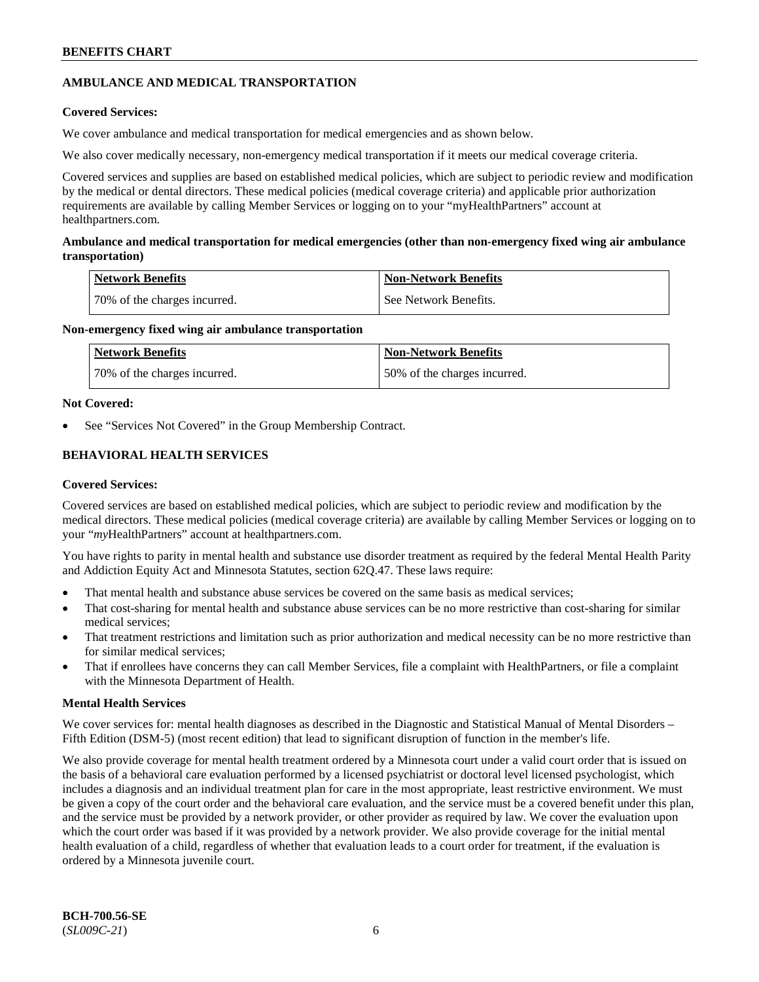# **AMBULANCE AND MEDICAL TRANSPORTATION**

# **Covered Services:**

We cover ambulance and medical transportation for medical emergencies and as shown below.

We also cover medically necessary, non-emergency medical transportation if it meets our medical coverage criteria.

Covered services and supplies are based on established medical policies, which are subject to periodic review and modification by the medical or dental directors. These medical policies (medical coverage criteria) and applicable prior authorization requirements are available by calling Member Services or logging on to your "myHealthPartners" account at [healthpartners.com.](https://www.healthpartners.com/hp/index.html)

# **Ambulance and medical transportation for medical emergencies (other than non-emergency fixed wing air ambulance transportation)**

| Network Benefits             | <b>Non-Network Benefits</b> |
|------------------------------|-----------------------------|
| 70% of the charges incurred. | See Network Benefits.       |

# **Non-emergency fixed wing air ambulance transportation**

| Network Benefits             | <b>Non-Network Benefits</b>  |
|------------------------------|------------------------------|
| 70% of the charges incurred. | 50% of the charges incurred. |

# **Not Covered:**

See "Services Not Covered" in the Group Membership Contract.

# **BEHAVIORAL HEALTH SERVICES**

# **Covered Services:**

Covered services are based on established medical policies, which are subject to periodic review and modification by the medical directors. These medical policies (medical coverage criteria) are available by calling Member Services or logging on to your "*my*HealthPartners" account at [healthpartners.com.](http://www.healthpartners.com/)

You have rights to parity in mental health and substance use disorder treatment as required by the federal Mental Health Parity and Addiction Equity Act and Minnesota Statutes, section 62Q.47. These laws require:

- That mental health and substance abuse services be covered on the same basis as medical services;
- That cost-sharing for mental health and substance abuse services can be no more restrictive than cost-sharing for similar medical services;
- That treatment restrictions and limitation such as prior authorization and medical necessity can be no more restrictive than for similar medical services;
- That if enrollees have concerns they can call Member Services, file a complaint with HealthPartners, or file a complaint with the Minnesota Department of Health.

# **Mental Health Services**

We cover services for: mental health diagnoses as described in the Diagnostic and Statistical Manual of Mental Disorders – Fifth Edition (DSM-5) (most recent edition) that lead to significant disruption of function in the member's life.

We also provide coverage for mental health treatment ordered by a Minnesota court under a valid court order that is issued on the basis of a behavioral care evaluation performed by a licensed psychiatrist or doctoral level licensed psychologist, which includes a diagnosis and an individual treatment plan for care in the most appropriate, least restrictive environment. We must be given a copy of the court order and the behavioral care evaluation, and the service must be a covered benefit under this plan, and the service must be provided by a network provider, or other provider as required by law. We cover the evaluation upon which the court order was based if it was provided by a network provider. We also provide coverage for the initial mental health evaluation of a child, regardless of whether that evaluation leads to a court order for treatment, if the evaluation is ordered by a Minnesota juvenile court.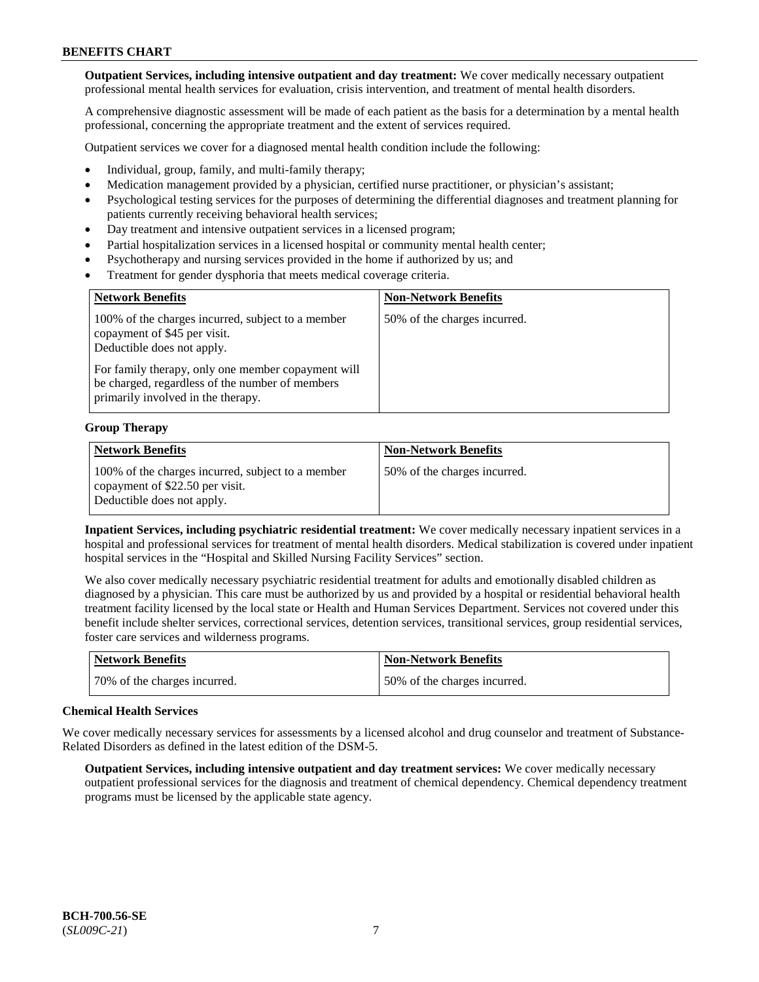**Outpatient Services, including intensive outpatient and day treatment:** We cover medically necessary outpatient professional mental health services for evaluation, crisis intervention, and treatment of mental health disorders.

A comprehensive diagnostic assessment will be made of each patient as the basis for a determination by a mental health professional, concerning the appropriate treatment and the extent of services required.

Outpatient services we cover for a diagnosed mental health condition include the following:

- Individual, group, family, and multi-family therapy;
- Medication management provided by a physician, certified nurse practitioner, or physician's assistant;
- Psychological testing services for the purposes of determining the differential diagnoses and treatment planning for patients currently receiving behavioral health services;
- Day treatment and intensive outpatient services in a licensed program;
- Partial hospitalization services in a licensed hospital or community mental health center;
- Psychotherapy and nursing services provided in the home if authorized by us; and
- Treatment for gender dysphoria that meets medical coverage criteria.

| <b>Network Benefits</b>                                                                                                                     | <b>Non-Network Benefits</b>  |
|---------------------------------------------------------------------------------------------------------------------------------------------|------------------------------|
| 100% of the charges incurred, subject to a member<br>copayment of \$45 per visit.<br>Deductible does not apply.                             | 50% of the charges incurred. |
| For family therapy, only one member copayment will<br>be charged, regardless of the number of members<br>primarily involved in the therapy. |                              |

#### **Group Therapy**

| <b>Network Benefits</b>                                                                                            | <b>Non-Network Benefits</b>  |
|--------------------------------------------------------------------------------------------------------------------|------------------------------|
| 100% of the charges incurred, subject to a member<br>copayment of \$22.50 per visit.<br>Deductible does not apply. | 50% of the charges incurred. |

**Inpatient Services, including psychiatric residential treatment:** We cover medically necessary inpatient services in a hospital and professional services for treatment of mental health disorders. Medical stabilization is covered under inpatient hospital services in the "Hospital and Skilled Nursing Facility Services" section.

We also cover medically necessary psychiatric residential treatment for adults and emotionally disabled children as diagnosed by a physician. This care must be authorized by us and provided by a hospital or residential behavioral health treatment facility licensed by the local state or Health and Human Services Department. Services not covered under this benefit include shelter services, correctional services, detention services, transitional services, group residential services, foster care services and wilderness programs.

| Network Benefits             | Non-Network Benefits         |
|------------------------------|------------------------------|
| 70% of the charges incurred. | 50% of the charges incurred. |

#### **Chemical Health Services**

We cover medically necessary services for assessments by a licensed alcohol and drug counselor and treatment of Substance-Related Disorders as defined in the latest edition of the DSM-5.

**Outpatient Services, including intensive outpatient and day treatment services:** We cover medically necessary outpatient professional services for the diagnosis and treatment of chemical dependency. Chemical dependency treatment programs must be licensed by the applicable state agency.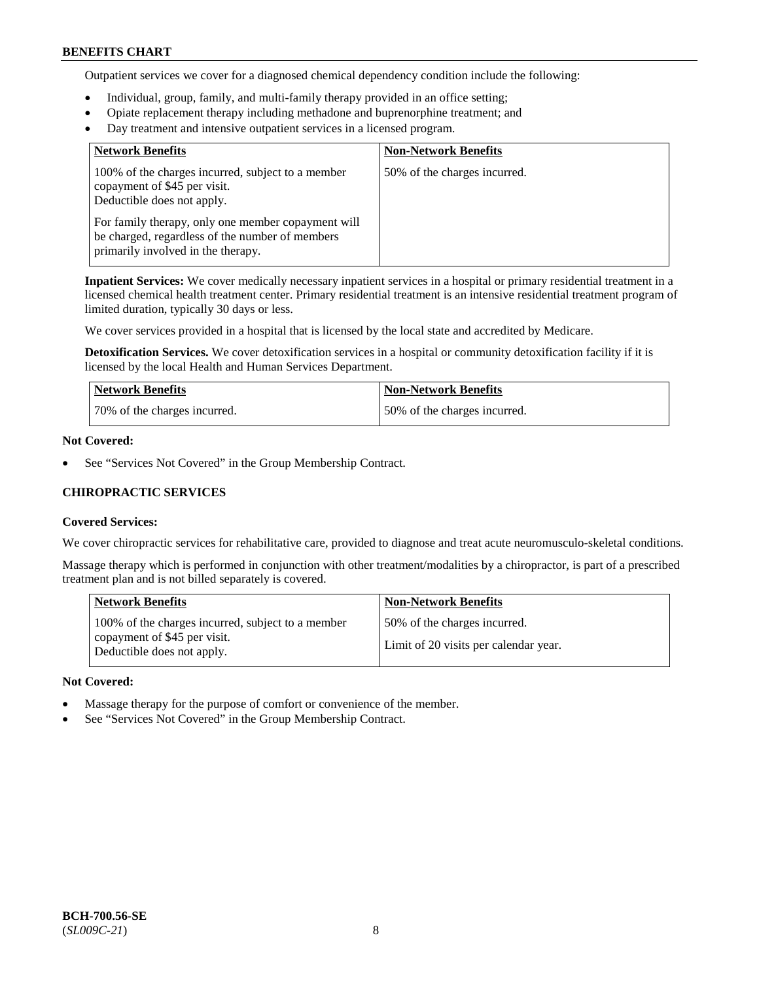Outpatient services we cover for a diagnosed chemical dependency condition include the following:

- Individual, group, family, and multi-family therapy provided in an office setting;
- Opiate replacement therapy including methadone and buprenorphine treatment; and
- Day treatment and intensive outpatient services in a licensed program.

| <b>Network Benefits</b>                                                                                                                     | <b>Non-Network Benefits</b>  |
|---------------------------------------------------------------------------------------------------------------------------------------------|------------------------------|
| 100% of the charges incurred, subject to a member<br>copayment of \$45 per visit.<br>Deductible does not apply.                             | 50% of the charges incurred. |
| For family therapy, only one member copayment will<br>be charged, regardless of the number of members<br>primarily involved in the therapy. |                              |

**Inpatient Services:** We cover medically necessary inpatient services in a hospital or primary residential treatment in a licensed chemical health treatment center. Primary residential treatment is an intensive residential treatment program of limited duration, typically 30 days or less.

We cover services provided in a hospital that is licensed by the local state and accredited by Medicare.

**Detoxification Services.** We cover detoxification services in a hospital or community detoxification facility if it is licensed by the local Health and Human Services Department.

| <b>Network Benefits</b>      | <b>Non-Network Benefits</b>  |
|------------------------------|------------------------------|
| 70% of the charges incurred. | 50% of the charges incurred. |

# **Not Covered:**

See "Services Not Covered" in the Group Membership Contract.

# **CHIROPRACTIC SERVICES**

#### **Covered Services:**

We cover chiropractic services for rehabilitative care, provided to diagnose and treat acute neuromusculo-skeletal conditions.

Massage therapy which is performed in conjunction with other treatment/modalities by a chiropractor, is part of a prescribed treatment plan and is not billed separately is covered.

| <b>Network Benefits</b>                                                                                         | <b>Non-Network Benefits</b>                                           |
|-----------------------------------------------------------------------------------------------------------------|-----------------------------------------------------------------------|
| 100% of the charges incurred, subject to a member<br>copayment of \$45 per visit.<br>Deductible does not apply. | 50% of the charges incurred.<br>Limit of 20 visits per calendar year. |

#### **Not Covered:**

- Massage therapy for the purpose of comfort or convenience of the member.
- See "Services Not Covered" in the Group Membership Contract.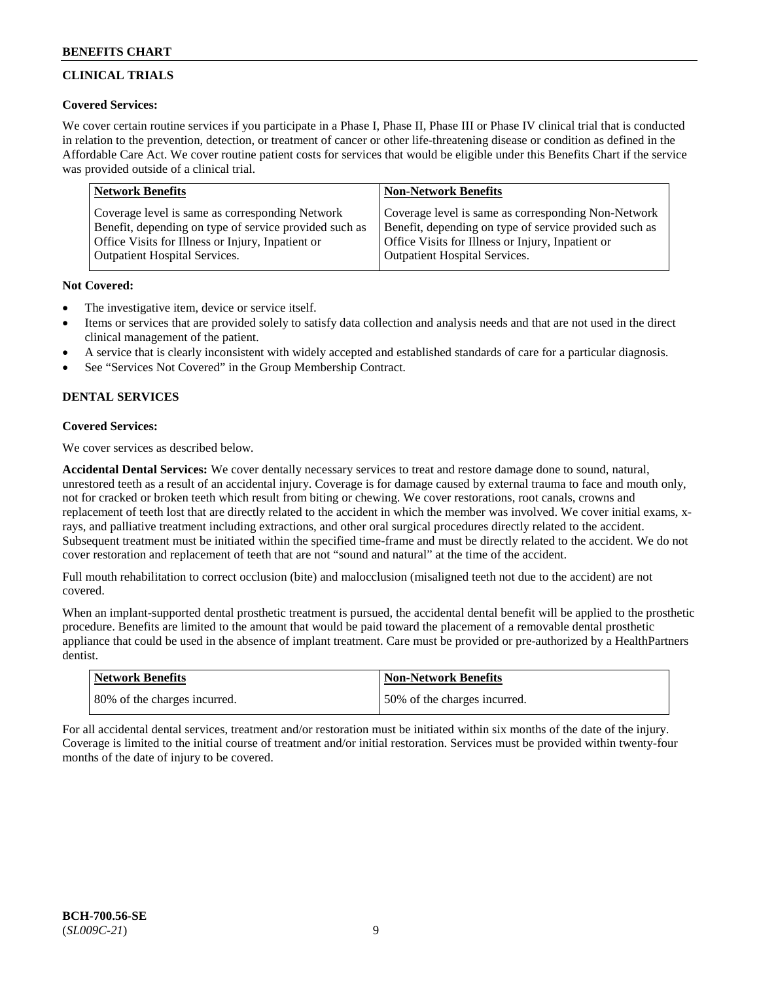# **CLINICAL TRIALS**

# **Covered Services:**

We cover certain routine services if you participate in a Phase I, Phase II, Phase III or Phase IV clinical trial that is conducted in relation to the prevention, detection, or treatment of cancer or other life-threatening disease or condition as defined in the Affordable Care Act. We cover routine patient costs for services that would be eligible under this Benefits Chart if the service was provided outside of a clinical trial.

| <b>Network Benefits</b>                                | <b>Non-Network Benefits</b>                            |
|--------------------------------------------------------|--------------------------------------------------------|
| Coverage level is same as corresponding Network        | Coverage level is same as corresponding Non-Network    |
| Benefit, depending on type of service provided such as | Benefit, depending on type of service provided such as |
| Office Visits for Illness or Injury, Inpatient or      | Office Visits for Illness or Injury, Inpatient or      |
| <b>Outpatient Hospital Services.</b>                   | Outpatient Hospital Services.                          |

# **Not Covered:**

- The investigative item, device or service itself.
- Items or services that are provided solely to satisfy data collection and analysis needs and that are not used in the direct clinical management of the patient.
- A service that is clearly inconsistent with widely accepted and established standards of care for a particular diagnosis.
- See "Services Not Covered" in the Group Membership Contract.

# **DENTAL SERVICES**

# **Covered Services:**

We cover services as described below.

**Accidental Dental Services:** We cover dentally necessary services to treat and restore damage done to sound, natural, unrestored teeth as a result of an accidental injury. Coverage is for damage caused by external trauma to face and mouth only, not for cracked or broken teeth which result from biting or chewing. We cover restorations, root canals, crowns and replacement of teeth lost that are directly related to the accident in which the member was involved. We cover initial exams, xrays, and palliative treatment including extractions, and other oral surgical procedures directly related to the accident. Subsequent treatment must be initiated within the specified time-frame and must be directly related to the accident. We do not cover restoration and replacement of teeth that are not "sound and natural" at the time of the accident.

Full mouth rehabilitation to correct occlusion (bite) and malocclusion (misaligned teeth not due to the accident) are not covered.

When an implant-supported dental prosthetic treatment is pursued, the accidental dental benefit will be applied to the prosthetic procedure. Benefits are limited to the amount that would be paid toward the placement of a removable dental prosthetic appliance that could be used in the absence of implant treatment. Care must be provided or pre-authorized by a HealthPartners dentist.

| <b>Network Benefits</b>      | <b>Non-Network Benefits</b>   |
|------------------------------|-------------------------------|
| 80% of the charges incurred. | 150% of the charges incurred. |

For all accidental dental services, treatment and/or restoration must be initiated within six months of the date of the injury. Coverage is limited to the initial course of treatment and/or initial restoration. Services must be provided within twenty-four months of the date of injury to be covered.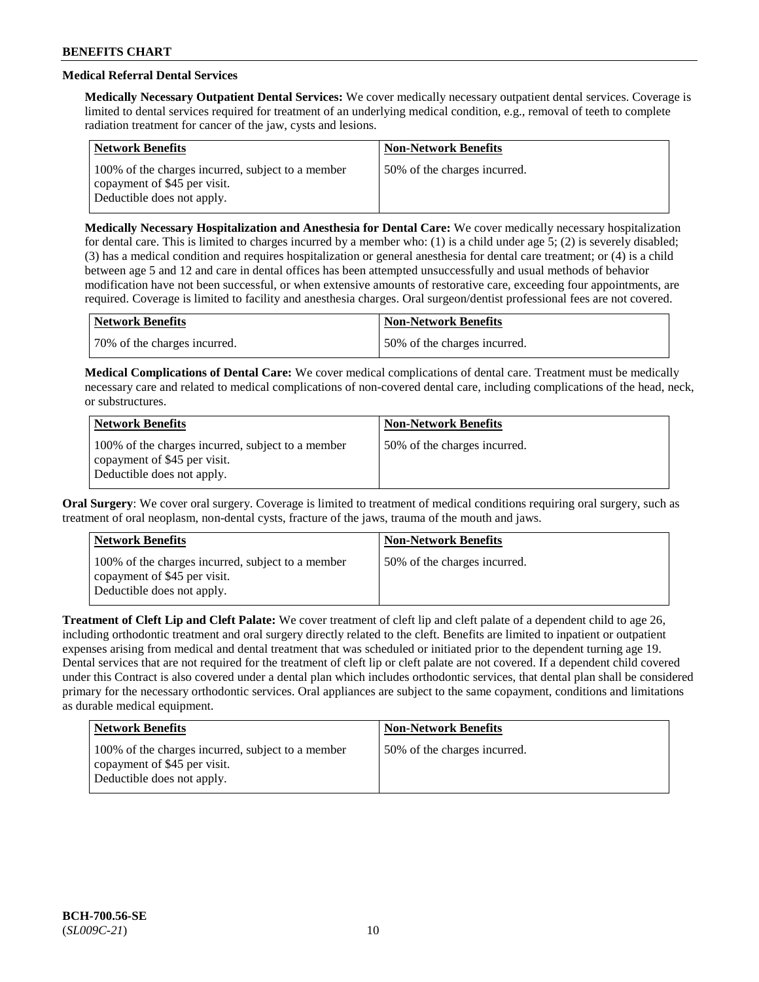# **Medical Referral Dental Services**

**Medically Necessary Outpatient Dental Services:** We cover medically necessary outpatient dental services. Coverage is limited to dental services required for treatment of an underlying medical condition, e.g., removal of teeth to complete radiation treatment for cancer of the jaw, cysts and lesions.

| <b>Network Benefits</b>                                                                                         | <b>Non-Network Benefits</b>  |
|-----------------------------------------------------------------------------------------------------------------|------------------------------|
| 100% of the charges incurred, subject to a member<br>copayment of \$45 per visit.<br>Deductible does not apply. | 50% of the charges incurred. |

**Medically Necessary Hospitalization and Anesthesia for Dental Care:** We cover medically necessary hospitalization for dental care. This is limited to charges incurred by a member who: (1) is a child under age  $5$ ; (2) is severely disabled; (3) has a medical condition and requires hospitalization or general anesthesia for dental care treatment; or (4) is a child between age 5 and 12 and care in dental offices has been attempted unsuccessfully and usual methods of behavior modification have not been successful, or when extensive amounts of restorative care, exceeding four appointments, are required. Coverage is limited to facility and anesthesia charges. Oral surgeon/dentist professional fees are not covered.

| <b>Network Benefits</b>      | Non-Network Benefits         |
|------------------------------|------------------------------|
| 70% of the charges incurred. | 50% of the charges incurred. |

**Medical Complications of Dental Care:** We cover medical complications of dental care. Treatment must be medically necessary care and related to medical complications of non-covered dental care, including complications of the head, neck, or substructures.

| <b>Network Benefits</b>                                                                                         | <b>Non-Network Benefits</b>  |
|-----------------------------------------------------------------------------------------------------------------|------------------------------|
| 100% of the charges incurred, subject to a member<br>copayment of \$45 per visit.<br>Deductible does not apply. | 50% of the charges incurred. |

**Oral Surgery**: We cover oral surgery. Coverage is limited to treatment of medical conditions requiring oral surgery, such as treatment of oral neoplasm, non-dental cysts, fracture of the jaws, trauma of the mouth and jaws.

| <b>Network Benefits</b>                                                                                         | <b>Non-Network Benefits</b>  |
|-----------------------------------------------------------------------------------------------------------------|------------------------------|
| 100% of the charges incurred, subject to a member<br>copayment of \$45 per visit.<br>Deductible does not apply. | 50% of the charges incurred. |

**Treatment of Cleft Lip and Cleft Palate:** We cover treatment of cleft lip and cleft palate of a dependent child to age 26, including orthodontic treatment and oral surgery directly related to the cleft. Benefits are limited to inpatient or outpatient expenses arising from medical and dental treatment that was scheduled or initiated prior to the dependent turning age 19. Dental services that are not required for the treatment of cleft lip or cleft palate are not covered. If a dependent child covered under this Contract is also covered under a dental plan which includes orthodontic services, that dental plan shall be considered primary for the necessary orthodontic services. Oral appliances are subject to the same copayment, conditions and limitations as durable medical equipment.

| Network Benefits                                                                                                | <b>Non-Network Benefits</b>  |
|-----------------------------------------------------------------------------------------------------------------|------------------------------|
| 100% of the charges incurred, subject to a member<br>copayment of \$45 per visit.<br>Deductible does not apply. | 50% of the charges incurred. |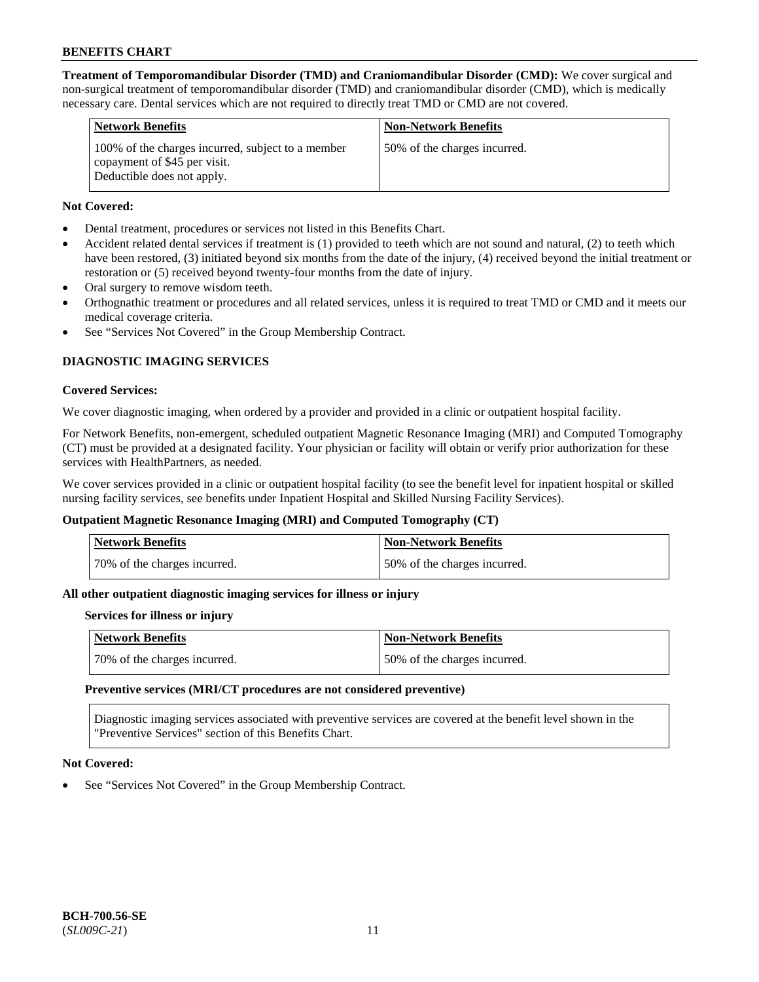**Treatment of Temporomandibular Disorder (TMD) and Craniomandibular Disorder (CMD):** We cover surgical and non-surgical treatment of temporomandibular disorder (TMD) and craniomandibular disorder (CMD), which is medically necessary care. Dental services which are not required to directly treat TMD or CMD are not covered.

| <b>Network Benefits</b>                                                                                         | <b>Non-Network Benefits</b>  |
|-----------------------------------------------------------------------------------------------------------------|------------------------------|
| 100% of the charges incurred, subject to a member<br>copayment of \$45 per visit.<br>Deductible does not apply. | 50% of the charges incurred. |

# **Not Covered:**

- Dental treatment, procedures or services not listed in this Benefits Chart.
- Accident related dental services if treatment is (1) provided to teeth which are not sound and natural, (2) to teeth which have been restored, (3) initiated beyond six months from the date of the injury, (4) received beyond the initial treatment or restoration or (5) received beyond twenty-four months from the date of injury.
- Oral surgery to remove wisdom teeth.
- Orthognathic treatment or procedures and all related services, unless it is required to treat TMD or CMD and it meets our medical coverage criteria.
- See "Services Not Covered" in the Group Membership Contract.

# **DIAGNOSTIC IMAGING SERVICES**

#### **Covered Services:**

We cover diagnostic imaging, when ordered by a provider and provided in a clinic or outpatient hospital facility.

For Network Benefits, non-emergent, scheduled outpatient Magnetic Resonance Imaging (MRI) and Computed Tomography (CT) must be provided at a designated facility. Your physician or facility will obtain or verify prior authorization for these services with HealthPartners, as needed.

We cover services provided in a clinic or outpatient hospital facility (to see the benefit level for inpatient hospital or skilled nursing facility services, see benefits under Inpatient Hospital and Skilled Nursing Facility Services).

# **Outpatient Magnetic Resonance Imaging (MRI) and Computed Tomography (CT)**

| Network Benefits             | <b>Non-Network Benefits</b>  |
|------------------------------|------------------------------|
| 70% of the charges incurred. | 50% of the charges incurred. |

# **All other outpatient diagnostic imaging services for illness or injury**

#### **Services for illness or injury**

| Network Benefits             | Non-Network Benefits         |
|------------------------------|------------------------------|
| 70% of the charges incurred. | 50% of the charges incurred. |

#### **Preventive services (MRI/CT procedures are not considered preventive)**

Diagnostic imaging services associated with preventive services are covered at the benefit level shown in the "Preventive Services" section of this Benefits Chart.

#### **Not Covered:**

See "Services Not Covered" in the Group Membership Contract.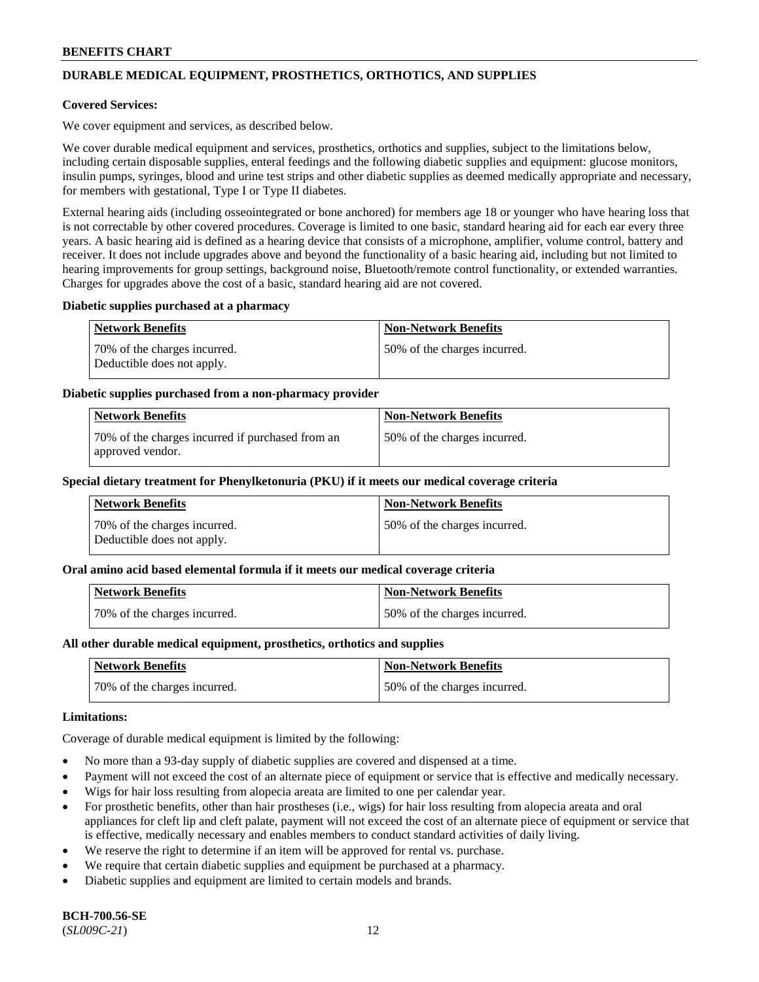# **DURABLE MEDICAL EQUIPMENT, PROSTHETICS, ORTHOTICS, AND SUPPLIES**

### **Covered Services:**

We cover equipment and services, as described below.

We cover durable medical equipment and services, prosthetics, orthotics and supplies, subject to the limitations below, including certain disposable supplies, enteral feedings and the following diabetic supplies and equipment: glucose monitors, insulin pumps, syringes, blood and urine test strips and other diabetic supplies as deemed medically appropriate and necessary, for members with gestational, Type I or Type II diabetes.

External hearing aids (including osseointegrated or bone anchored) for members age 18 or younger who have hearing loss that is not correctable by other covered procedures. Coverage is limited to one basic, standard hearing aid for each ear every three years. A basic hearing aid is defined as a hearing device that consists of a microphone, amplifier, volume control, battery and receiver. It does not include upgrades above and beyond the functionality of a basic hearing aid, including but not limited to hearing improvements for group settings, background noise, Bluetooth/remote control functionality, or extended warranties. Charges for upgrades above the cost of a basic, standard hearing aid are not covered.

#### **Diabetic supplies purchased at a pharmacy**

| <b>Network Benefits</b>                                    | <b>Non-Network Benefits</b>   |
|------------------------------------------------------------|-------------------------------|
| 70% of the charges incurred.<br>Deductible does not apply. | 50\% of the charges incurred. |

#### **Diabetic supplies purchased from a non-pharmacy provider**

| <b>Network Benefits</b>                                              | <b>Non-Network Benefits</b>  |
|----------------------------------------------------------------------|------------------------------|
| 70% of the charges incurred if purchased from an<br>approved vendor. | 50% of the charges incurred. |

#### **Special dietary treatment for Phenylketonuria (PKU) if it meets our medical coverage criteria**

| Network Benefits                                           | <b>Non-Network Benefits</b>   |
|------------------------------------------------------------|-------------------------------|
| 70% of the charges incurred.<br>Deductible does not apply. | 150% of the charges incurred. |

#### **Oral amino acid based elemental formula if it meets our medical coverage criteria**

| <b>Network Benefits</b>      | <b>Non-Network Benefits</b>  |
|------------------------------|------------------------------|
| 70% of the charges incurred. | 50% of the charges incurred. |

#### **All other durable medical equipment, prosthetics, orthotics and supplies**

| Network Benefits             | <b>Non-Network Benefits</b>  |
|------------------------------|------------------------------|
| 70% of the charges incurred. | 50% of the charges incurred. |

### **Limitations:**

Coverage of durable medical equipment is limited by the following:

- No more than a 93-day supply of diabetic supplies are covered and dispensed at a time.
- Payment will not exceed the cost of an alternate piece of equipment or service that is effective and medically necessary.
- Wigs for hair loss resulting from alopecia areata are limited to one per calendar year.
- For prosthetic benefits, other than hair prostheses (i.e., wigs) for hair loss resulting from alopecia areata and oral appliances for cleft lip and cleft palate, payment will not exceed the cost of an alternate piece of equipment or service that is effective, medically necessary and enables members to conduct standard activities of daily living.
- We reserve the right to determine if an item will be approved for rental vs. purchase.
- We require that certain diabetic supplies and equipment be purchased at a pharmacy.
- Diabetic supplies and equipment are limited to certain models and brands.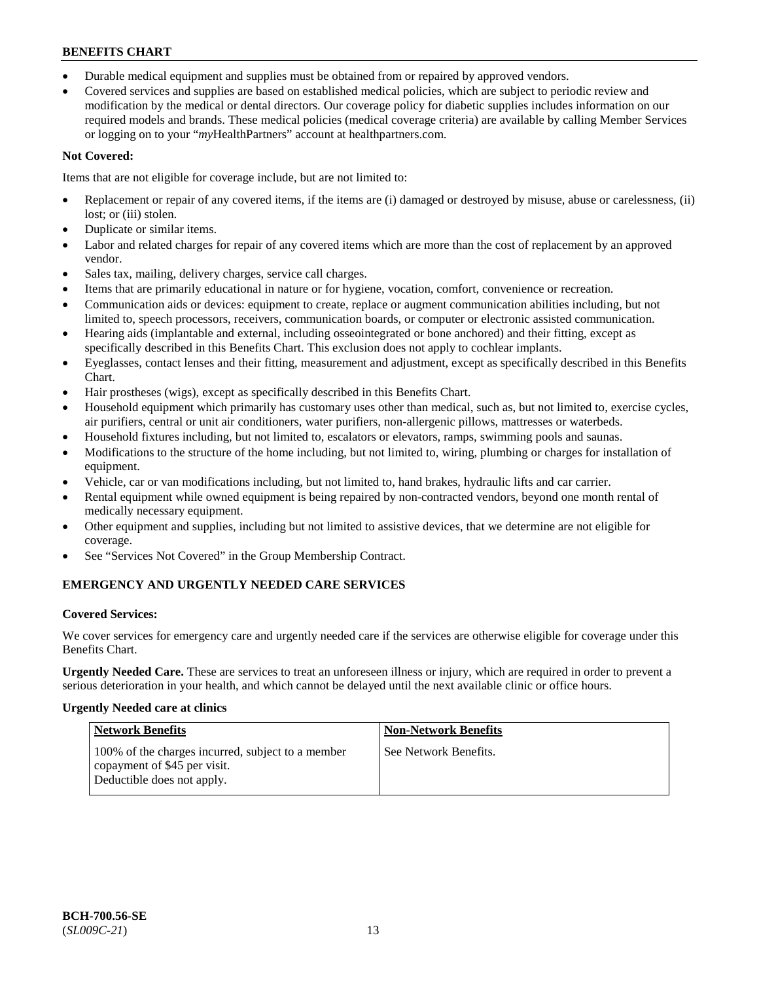- Durable medical equipment and supplies must be obtained from or repaired by approved vendors.
- Covered services and supplies are based on established medical policies, which are subject to periodic review and modification by the medical or dental directors. Our coverage policy for diabetic supplies includes information on our required models and brands. These medical policies (medical coverage criteria) are available by calling Member Services or logging on to your "*my*HealthPartners" account a[t healthpartners.com.](https://www.healthpartners.com/hp/index.html)

# **Not Covered:**

Items that are not eligible for coverage include, but are not limited to:

- Replacement or repair of any covered items, if the items are (i) damaged or destroyed by misuse, abuse or carelessness, (ii) lost; or (iii) stolen.
- Duplicate or similar items.
- Labor and related charges for repair of any covered items which are more than the cost of replacement by an approved vendor.
- Sales tax, mailing, delivery charges, service call charges.
- Items that are primarily educational in nature or for hygiene, vocation, comfort, convenience or recreation.
- Communication aids or devices: equipment to create, replace or augment communication abilities including, but not limited to, speech processors, receivers, communication boards, or computer or electronic assisted communication.
- Hearing aids (implantable and external, including osseointegrated or bone anchored) and their fitting, except as specifically described in this Benefits Chart. This exclusion does not apply to cochlear implants.
- Eyeglasses, contact lenses and their fitting, measurement and adjustment, except as specifically described in this Benefits Chart.
- Hair prostheses (wigs), except as specifically described in this Benefits Chart.
- Household equipment which primarily has customary uses other than medical, such as, but not limited to, exercise cycles, air purifiers, central or unit air conditioners, water purifiers, non-allergenic pillows, mattresses or waterbeds.
- Household fixtures including, but not limited to, escalators or elevators, ramps, swimming pools and saunas.
- Modifications to the structure of the home including, but not limited to, wiring, plumbing or charges for installation of equipment.
- Vehicle, car or van modifications including, but not limited to, hand brakes, hydraulic lifts and car carrier.
- Rental equipment while owned equipment is being repaired by non-contracted vendors, beyond one month rental of medically necessary equipment.
- Other equipment and supplies, including but not limited to assistive devices, that we determine are not eligible for coverage.
- See "Services Not Covered" in the Group Membership Contract.

# **EMERGENCY AND URGENTLY NEEDED CARE SERVICES**

# **Covered Services:**

We cover services for emergency care and urgently needed care if the services are otherwise eligible for coverage under this Benefits Chart.

**Urgently Needed Care.** These are services to treat an unforeseen illness or injury, which are required in order to prevent a serious deterioration in your health, and which cannot be delayed until the next available clinic or office hours.

# **Urgently Needed care at clinics**

| <b>Network Benefits</b>                                                                                         | <b>Non-Network Benefits</b> |
|-----------------------------------------------------------------------------------------------------------------|-----------------------------|
| 100% of the charges incurred, subject to a member<br>copayment of \$45 per visit.<br>Deductible does not apply. | See Network Benefits.       |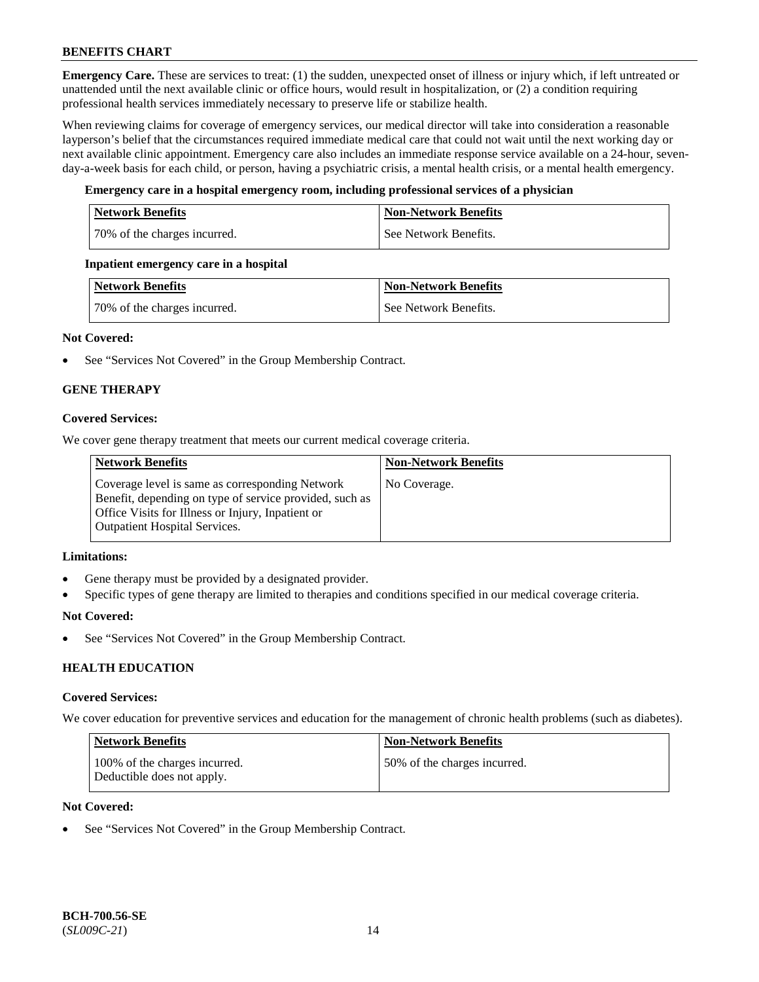**Emergency Care.** These are services to treat: (1) the sudden, unexpected onset of illness or injury which, if left untreated or unattended until the next available clinic or office hours, would result in hospitalization, or (2) a condition requiring professional health services immediately necessary to preserve life or stabilize health.

When reviewing claims for coverage of emergency services, our medical director will take into consideration a reasonable layperson's belief that the circumstances required immediate medical care that could not wait until the next working day or next available clinic appointment. Emergency care also includes an immediate response service available on a 24-hour, sevenday-a-week basis for each child, or person, having a psychiatric crisis, a mental health crisis, or a mental health emergency.

# **Emergency care in a hospital emergency room, including professional services of a physician**

| <b>Network Benefits</b>      | <b>Non-Network Benefits</b> |
|------------------------------|-----------------------------|
| 70% of the charges incurred. | See Network Benefits.       |

#### **Inpatient emergency care in a hospital**

| Network Benefits             | <b>Non-Network Benefits</b> |
|------------------------------|-----------------------------|
| 70% of the charges incurred. | See Network Benefits.       |

# **Not Covered:**

• See "Services Not Covered" in the Group Membership Contract.

# **GENE THERAPY**

# **Covered Services:**

We cover gene therapy treatment that meets our current medical coverage criteria.

| <b>Network Benefits</b>                                                                                                                                                                                 | <b>Non-Network Benefits</b> |
|---------------------------------------------------------------------------------------------------------------------------------------------------------------------------------------------------------|-----------------------------|
| Coverage level is same as corresponding Network<br>Benefit, depending on type of service provided, such as<br>Office Visits for Illness or Injury, Inpatient or<br><b>Outpatient Hospital Services.</b> | No Coverage.                |

#### **Limitations:**

- Gene therapy must be provided by a designated provider.
- Specific types of gene therapy are limited to therapies and conditions specified in our medical coverage criteria.

#### **Not Covered:**

See "Services Not Covered" in the Group Membership Contract.

# **HEALTH EDUCATION**

#### **Covered Services:**

We cover education for preventive services and education for the management of chronic health problems (such as diabetes).

| Network Benefits                                            | <b>Non-Network Benefits</b>  |
|-------------------------------------------------------------|------------------------------|
| 100% of the charges incurred.<br>Deductible does not apply. | 50% of the charges incurred. |

# **Not Covered:**

See "Services Not Covered" in the Group Membership Contract.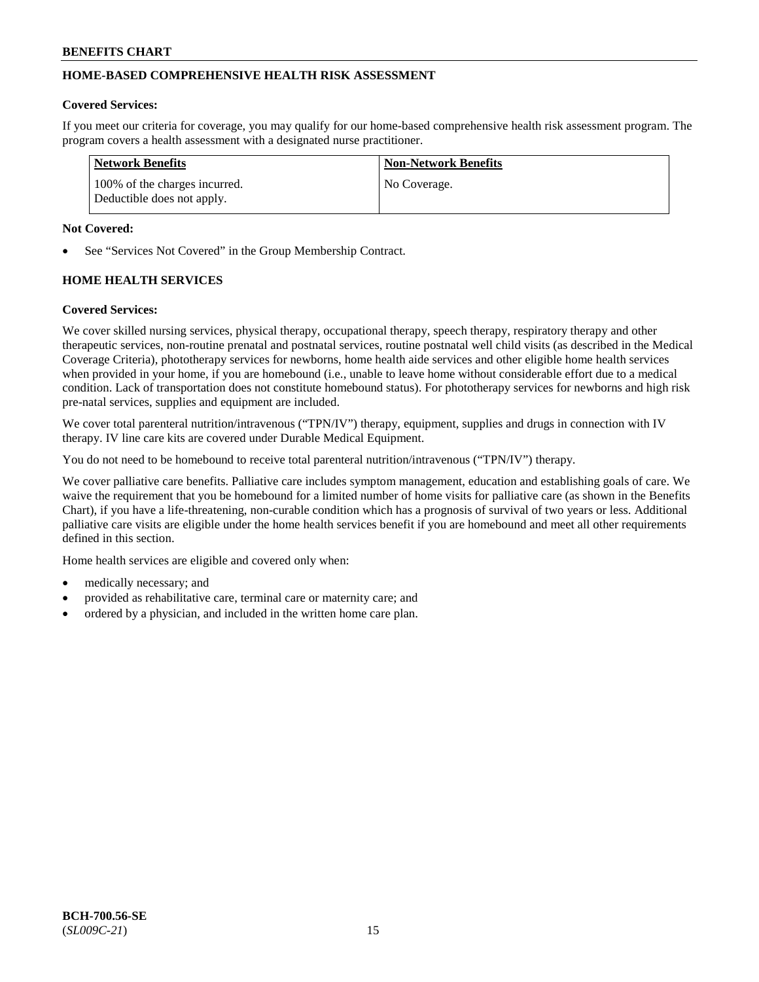# **HOME-BASED COMPREHENSIVE HEALTH RISK ASSESSMENT**

#### **Covered Services:**

If you meet our criteria for coverage, you may qualify for our home-based comprehensive health risk assessment program. The program covers a health assessment with a designated nurse practitioner.

| <b>Network Benefits</b>                                     | <b>Non-Network Benefits</b> |
|-------------------------------------------------------------|-----------------------------|
| 100% of the charges incurred.<br>Deductible does not apply. | No Coverage.                |

#### **Not Covered:**

See "Services Not Covered" in the Group Membership Contract.

# **HOME HEALTH SERVICES**

#### **Covered Services:**

We cover skilled nursing services, physical therapy, occupational therapy, speech therapy, respiratory therapy and other therapeutic services, non-routine prenatal and postnatal services, routine postnatal well child visits (as described in the Medical Coverage Criteria), phototherapy services for newborns, home health aide services and other eligible home health services when provided in your home, if you are homebound (i.e., unable to leave home without considerable effort due to a medical condition. Lack of transportation does not constitute homebound status). For phototherapy services for newborns and high risk pre-natal services, supplies and equipment are included.

We cover total parenteral nutrition/intravenous ("TPN/IV") therapy, equipment, supplies and drugs in connection with IV therapy. IV line care kits are covered under Durable Medical Equipment.

You do not need to be homebound to receive total parenteral nutrition/intravenous ("TPN/IV") therapy.

We cover palliative care benefits. Palliative care includes symptom management, education and establishing goals of care. We waive the requirement that you be homebound for a limited number of home visits for palliative care (as shown in the Benefits Chart), if you have a life-threatening, non-curable condition which has a prognosis of survival of two years or less. Additional palliative care visits are eligible under the home health services benefit if you are homebound and meet all other requirements defined in this section.

Home health services are eligible and covered only when:

- medically necessary; and
- provided as rehabilitative care, terminal care or maternity care; and
- ordered by a physician, and included in the written home care plan.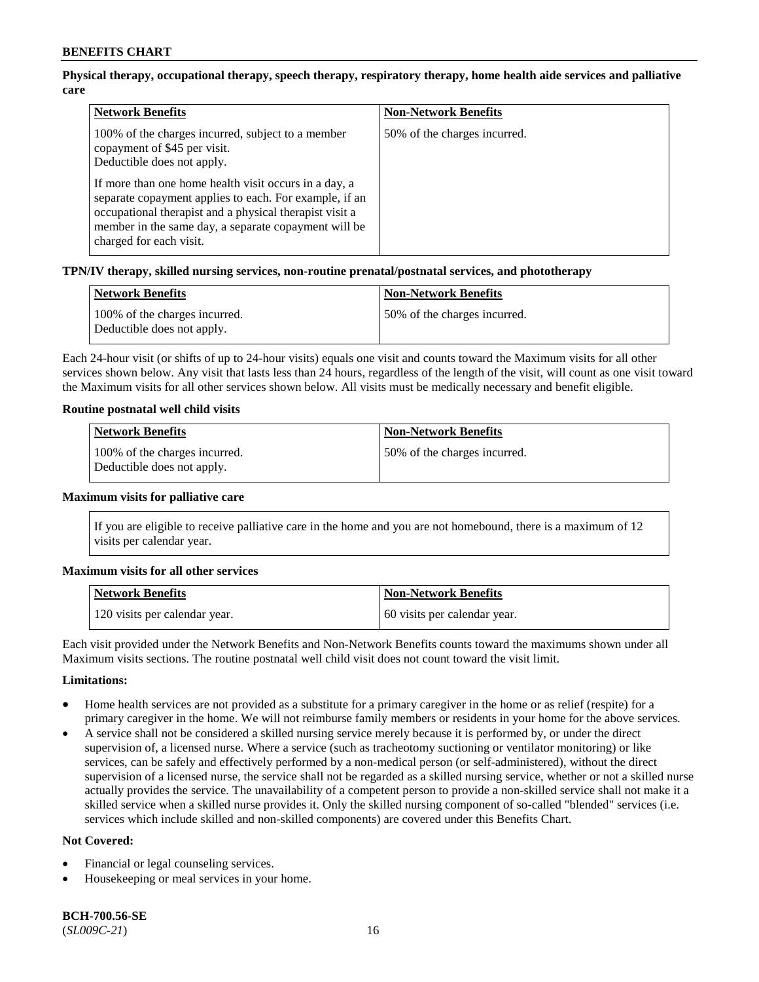# **Physical therapy, occupational therapy, speech therapy, respiratory therapy, home health aide services and palliative care**

| <b>Network Benefits</b>                                                                                                                                                                                                                                       | <b>Non-Network Benefits</b>  |
|---------------------------------------------------------------------------------------------------------------------------------------------------------------------------------------------------------------------------------------------------------------|------------------------------|
| 100% of the charges incurred, subject to a member<br>copayment of \$45 per visit.<br>Deductible does not apply.                                                                                                                                               | 50% of the charges incurred. |
| If more than one home health visit occurs in a day, a<br>separate copayment applies to each. For example, if an<br>occupational therapist and a physical therapist visit a<br>member in the same day, a separate copayment will be<br>charged for each visit. |                              |

# **TPN/IV therapy, skilled nursing services, non-routine prenatal/postnatal services, and phototherapy**

| Network Benefits                                            | <b>Non-Network Benefits</b>  |
|-------------------------------------------------------------|------------------------------|
| 100% of the charges incurred.<br>Deductible does not apply. | 50% of the charges incurred. |

Each 24-hour visit (or shifts of up to 24-hour visits) equals one visit and counts toward the Maximum visits for all other services shown below. Any visit that lasts less than 24 hours, regardless of the length of the visit, will count as one visit toward the Maximum visits for all other services shown below. All visits must be medically necessary and benefit eligible.

#### **Routine postnatal well child visits**

| Network Benefits                                            | <b>Non-Network Benefits</b>   |
|-------------------------------------------------------------|-------------------------------|
| 100% of the charges incurred.<br>Deductible does not apply. | 150% of the charges incurred. |

#### **Maximum visits for palliative care**

If you are eligible to receive palliative care in the home and you are not homebound, there is a maximum of 12 visits per calendar year.

#### **Maximum visits for all other services**

| <b>Network Benefits</b>       | <b>Non-Network Benefits</b>  |
|-------------------------------|------------------------------|
| 120 visits per calendar year. | 60 visits per calendar year. |

Each visit provided under the Network Benefits and Non-Network Benefits counts toward the maximums shown under all Maximum visits sections. The routine postnatal well child visit does not count toward the visit limit.

#### **Limitations:**

- Home health services are not provided as a substitute for a primary caregiver in the home or as relief (respite) for a primary caregiver in the home. We will not reimburse family members or residents in your home for the above services.
- A service shall not be considered a skilled nursing service merely because it is performed by, or under the direct supervision of, a licensed nurse. Where a service (such as tracheotomy suctioning or ventilator monitoring) or like services, can be safely and effectively performed by a non-medical person (or self-administered), without the direct supervision of a licensed nurse, the service shall not be regarded as a skilled nursing service, whether or not a skilled nurse actually provides the service. The unavailability of a competent person to provide a non-skilled service shall not make it a skilled service when a skilled nurse provides it. Only the skilled nursing component of so-called "blended" services (i.e. services which include skilled and non-skilled components) are covered under this Benefits Chart.

#### **Not Covered:**

- Financial or legal counseling services.
- Housekeeping or meal services in your home.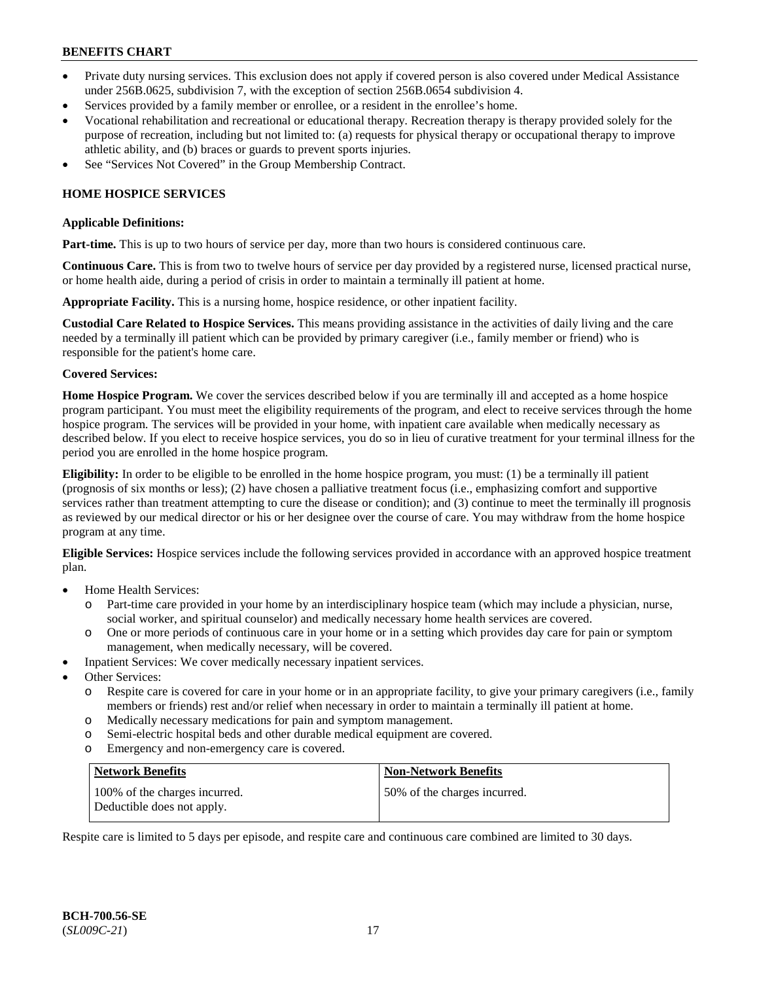- Private duty nursing services. This exclusion does not apply if covered person is also covered under Medical Assistance under 256B.0625, subdivision 7, with the exception of section 256B.0654 subdivision 4.
- Services provided by a family member or enrollee, or a resident in the enrollee's home.
- Vocational rehabilitation and recreational or educational therapy. Recreation therapy is therapy provided solely for the purpose of recreation, including but not limited to: (a) requests for physical therapy or occupational therapy to improve athletic ability, and (b) braces or guards to prevent sports injuries.
- See "Services Not Covered" in the Group Membership Contract.

# **HOME HOSPICE SERVICES**

#### **Applicable Definitions:**

**Part-time.** This is up to two hours of service per day, more than two hours is considered continuous care.

**Continuous Care.** This is from two to twelve hours of service per day provided by a registered nurse, licensed practical nurse, or home health aide, during a period of crisis in order to maintain a terminally ill patient at home.

**Appropriate Facility.** This is a nursing home, hospice residence, or other inpatient facility.

**Custodial Care Related to Hospice Services.** This means providing assistance in the activities of daily living and the care needed by a terminally ill patient which can be provided by primary caregiver (i.e., family member or friend) who is responsible for the patient's home care.

# **Covered Services:**

**Home Hospice Program.** We cover the services described below if you are terminally ill and accepted as a home hospice program participant. You must meet the eligibility requirements of the program, and elect to receive services through the home hospice program. The services will be provided in your home, with inpatient care available when medically necessary as described below. If you elect to receive hospice services, you do so in lieu of curative treatment for your terminal illness for the period you are enrolled in the home hospice program.

**Eligibility:** In order to be eligible to be enrolled in the home hospice program, you must: (1) be a terminally ill patient (prognosis of six months or less); (2) have chosen a palliative treatment focus (i.e., emphasizing comfort and supportive services rather than treatment attempting to cure the disease or condition); and (3) continue to meet the terminally ill prognosis as reviewed by our medical director or his or her designee over the course of care. You may withdraw from the home hospice program at any time.

**Eligible Services:** Hospice services include the following services provided in accordance with an approved hospice treatment plan.

- Home Health Services:
	- o Part-time care provided in your home by an interdisciplinary hospice team (which may include a physician, nurse, social worker, and spiritual counselor) and medically necessary home health services are covered.
	- o One or more periods of continuous care in your home or in a setting which provides day care for pain or symptom management, when medically necessary, will be covered.
- Inpatient Services: We cover medically necessary inpatient services.
- Other Services:
	- o Respite care is covered for care in your home or in an appropriate facility, to give your primary caregivers (i.e., family members or friends) rest and/or relief when necessary in order to maintain a terminally ill patient at home.
	- o Medically necessary medications for pain and symptom management.
	- o Semi-electric hospital beds and other durable medical equipment are covered.
	- o Emergency and non-emergency care is covered.

| Network Benefits                                            | <b>Non-Network Benefits</b>  |
|-------------------------------------------------------------|------------------------------|
| 100% of the charges incurred.<br>Deductible does not apply. | 50% of the charges incurred. |

Respite care is limited to 5 days per episode, and respite care and continuous care combined are limited to 30 days.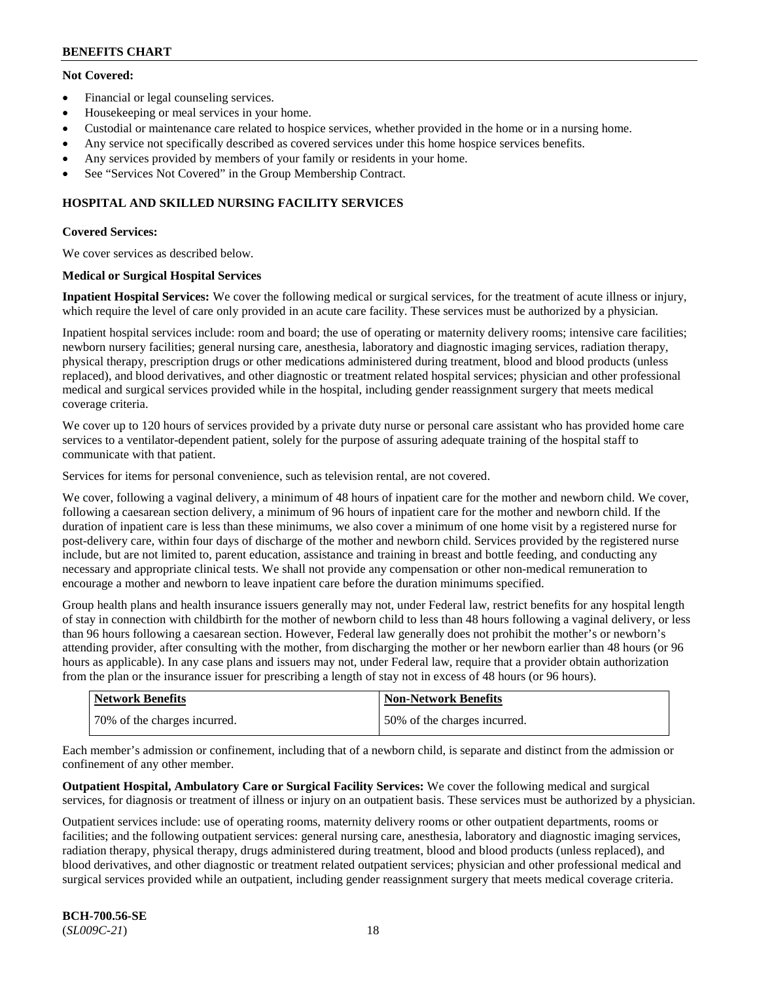# **Not Covered:**

- Financial or legal counseling services.
- Housekeeping or meal services in your home.
- Custodial or maintenance care related to hospice services, whether provided in the home or in a nursing home.
- Any service not specifically described as covered services under this home hospice services benefits.
- Any services provided by members of your family or residents in your home.
- See "Services Not Covered" in the Group Membership Contract.

# **HOSPITAL AND SKILLED NURSING FACILITY SERVICES**

# **Covered Services:**

We cover services as described below.

# **Medical or Surgical Hospital Services**

**Inpatient Hospital Services:** We cover the following medical or surgical services, for the treatment of acute illness or injury, which require the level of care only provided in an acute care facility. These services must be authorized by a physician.

Inpatient hospital services include: room and board; the use of operating or maternity delivery rooms; intensive care facilities; newborn nursery facilities; general nursing care, anesthesia, laboratory and diagnostic imaging services, radiation therapy, physical therapy, prescription drugs or other medications administered during treatment, blood and blood products (unless replaced), and blood derivatives, and other diagnostic or treatment related hospital services; physician and other professional medical and surgical services provided while in the hospital, including gender reassignment surgery that meets medical coverage criteria.

We cover up to 120 hours of services provided by a private duty nurse or personal care assistant who has provided home care services to a ventilator-dependent patient, solely for the purpose of assuring adequate training of the hospital staff to communicate with that patient.

Services for items for personal convenience, such as television rental, are not covered.

We cover, following a vaginal delivery, a minimum of 48 hours of inpatient care for the mother and newborn child. We cover, following a caesarean section delivery, a minimum of 96 hours of inpatient care for the mother and newborn child. If the duration of inpatient care is less than these minimums, we also cover a minimum of one home visit by a registered nurse for post-delivery care, within four days of discharge of the mother and newborn child. Services provided by the registered nurse include, but are not limited to, parent education, assistance and training in breast and bottle feeding, and conducting any necessary and appropriate clinical tests. We shall not provide any compensation or other non-medical remuneration to encourage a mother and newborn to leave inpatient care before the duration minimums specified.

Group health plans and health insurance issuers generally may not, under Federal law, restrict benefits for any hospital length of stay in connection with childbirth for the mother of newborn child to less than 48 hours following a vaginal delivery, or less than 96 hours following a caesarean section. However, Federal law generally does not prohibit the mother's or newborn's attending provider, after consulting with the mother, from discharging the mother or her newborn earlier than 48 hours (or 96 hours as applicable). In any case plans and issuers may not, under Federal law, require that a provider obtain authorization from the plan or the insurance issuer for prescribing a length of stay not in excess of 48 hours (or 96 hours).

| <b>Network Benefits</b>      | <b>Non-Network Benefits</b>  |
|------------------------------|------------------------------|
| 70% of the charges incurred. | 50% of the charges incurred. |

Each member's admission or confinement, including that of a newborn child, is separate and distinct from the admission or confinement of any other member.

**Outpatient Hospital, Ambulatory Care or Surgical Facility Services:** We cover the following medical and surgical services, for diagnosis or treatment of illness or injury on an outpatient basis. These services must be authorized by a physician.

Outpatient services include: use of operating rooms, maternity delivery rooms or other outpatient departments, rooms or facilities; and the following outpatient services: general nursing care, anesthesia, laboratory and diagnostic imaging services, radiation therapy, physical therapy, drugs administered during treatment, blood and blood products (unless replaced), and blood derivatives, and other diagnostic or treatment related outpatient services; physician and other professional medical and surgical services provided while an outpatient, including gender reassignment surgery that meets medical coverage criteria.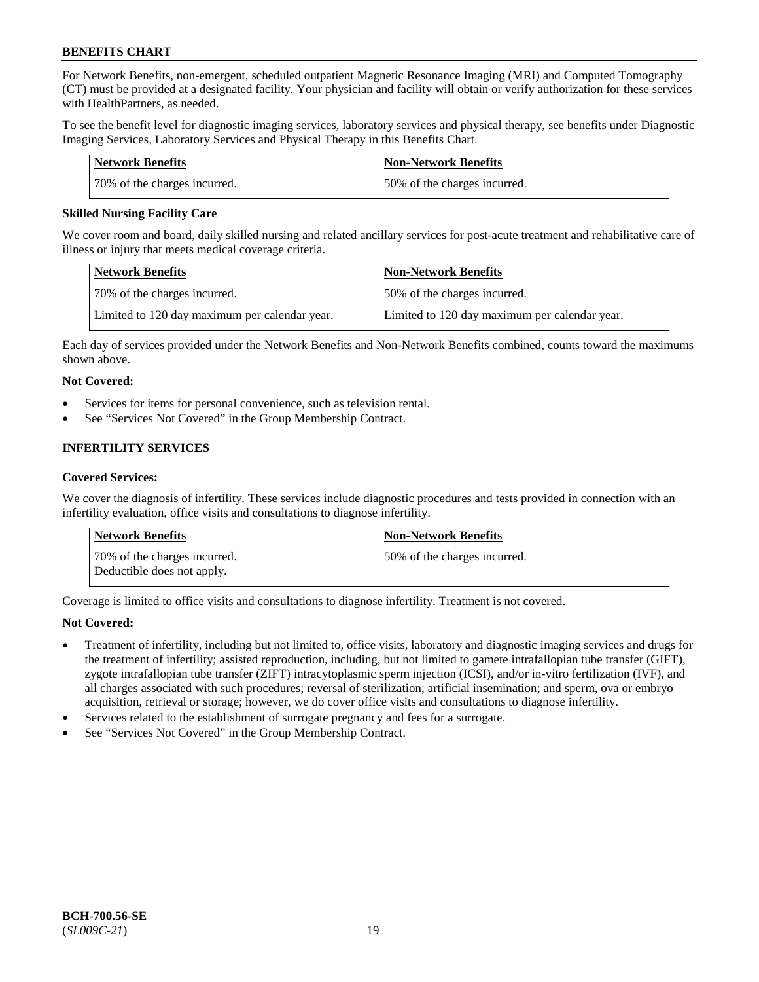For Network Benefits, non-emergent, scheduled outpatient Magnetic Resonance Imaging (MRI) and Computed Tomography (CT) must be provided at a designated facility. Your physician and facility will obtain or verify authorization for these services with HealthPartners, as needed.

To see the benefit level for diagnostic imaging services, laboratory services and physical therapy, see benefits under Diagnostic Imaging Services, Laboratory Services and Physical Therapy in this Benefits Chart.

| <b>Network Benefits</b>      | Non-Network Benefits         |
|------------------------------|------------------------------|
| 70% of the charges incurred. | 50% of the charges incurred. |

### **Skilled Nursing Facility Care**

We cover room and board, daily skilled nursing and related ancillary services for post-acute treatment and rehabilitative care of illness or injury that meets medical coverage criteria.

| <b>Network Benefits</b>                       | <b>Non-Network Benefits</b>                   |
|-----------------------------------------------|-----------------------------------------------|
| 70% of the charges incurred.                  | 50% of the charges incurred.                  |
| Limited to 120 day maximum per calendar year. | Limited to 120 day maximum per calendar year. |

Each day of services provided under the Network Benefits and Non-Network Benefits combined, counts toward the maximums shown above.

# **Not Covered:**

- Services for items for personal convenience, such as television rental.
- See "Services Not Covered" in the Group Membership Contract.

# **INFERTILITY SERVICES**

#### **Covered Services:**

We cover the diagnosis of infertility. These services include diagnostic procedures and tests provided in connection with an infertility evaluation, office visits and consultations to diagnose infertility.

| <b>Network Benefits</b>                                    | <b>Non-Network Benefits</b>  |
|------------------------------------------------------------|------------------------------|
| 70% of the charges incurred.<br>Deductible does not apply. | 50% of the charges incurred. |

Coverage is limited to office visits and consultations to diagnose infertility. Treatment is not covered.

# **Not Covered:**

- Treatment of infertility, including but not limited to, office visits, laboratory and diagnostic imaging services and drugs for the treatment of infertility; assisted reproduction, including, but not limited to gamete intrafallopian tube transfer (GIFT), zygote intrafallopian tube transfer (ZIFT) intracytoplasmic sperm injection (ICSI), and/or in-vitro fertilization (IVF), and all charges associated with such procedures; reversal of sterilization; artificial insemination; and sperm, ova or embryo acquisition, retrieval or storage; however, we do cover office visits and consultations to diagnose infertility.
- Services related to the establishment of surrogate pregnancy and fees for a surrogate.
- See "Services Not Covered" in the Group Membership Contract.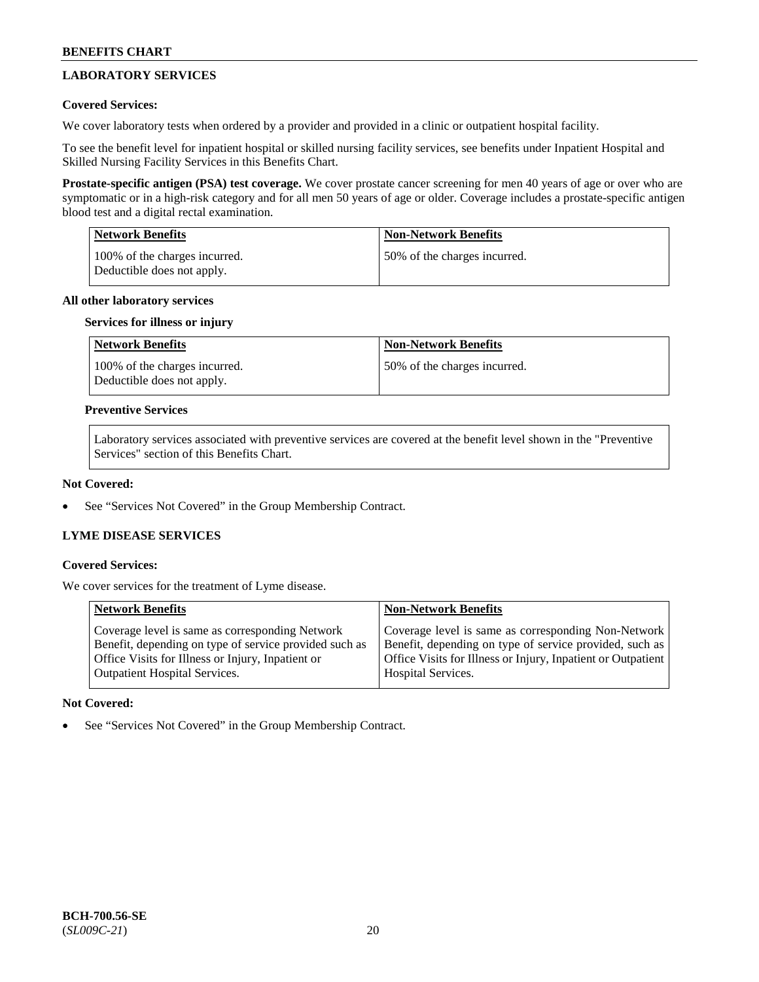# **LABORATORY SERVICES**

# **Covered Services:**

We cover laboratory tests when ordered by a provider and provided in a clinic or outpatient hospital facility.

To see the benefit level for inpatient hospital or skilled nursing facility services, see benefits under Inpatient Hospital and Skilled Nursing Facility Services in this Benefits Chart.

**Prostate-specific antigen (PSA) test coverage.** We cover prostate cancer screening for men 40 years of age or over who are symptomatic or in a high-risk category and for all men 50 years of age or older. Coverage includes a prostate-specific antigen blood test and a digital rectal examination.

| <b>Network Benefits</b>                                     | <b>Non-Network Benefits</b>  |
|-------------------------------------------------------------|------------------------------|
| 100% of the charges incurred.<br>Deductible does not apply. | 50% of the charges incurred. |

# **All other laboratory services**

# **Services for illness or injury**

| Network Benefits                                            | <b>Non-Network Benefits</b>  |
|-------------------------------------------------------------|------------------------------|
| 100% of the charges incurred.<br>Deductible does not apply. | 50% of the charges incurred. |

### **Preventive Services**

Laboratory services associated with preventive services are covered at the benefit level shown in the "Preventive Services" section of this Benefits Chart.

### **Not Covered:**

See "Services Not Covered" in the Group Membership Contract.

# **LYME DISEASE SERVICES**

#### **Covered Services:**

We cover services for the treatment of Lyme disease.

| <b>Network Benefits</b>                                | <b>Non-Network Benefits</b>                                  |
|--------------------------------------------------------|--------------------------------------------------------------|
| Coverage level is same as corresponding Network        | Coverage level is same as corresponding Non-Network          |
| Benefit, depending on type of service provided such as | Benefit, depending on type of service provided, such as      |
| Office Visits for Illness or Injury, Inpatient or      | Office Visits for Illness or Injury, Inpatient or Outpatient |
| <b>Outpatient Hospital Services.</b>                   | Hospital Services.                                           |

# **Not Covered:**

See "Services Not Covered" in the Group Membership Contract.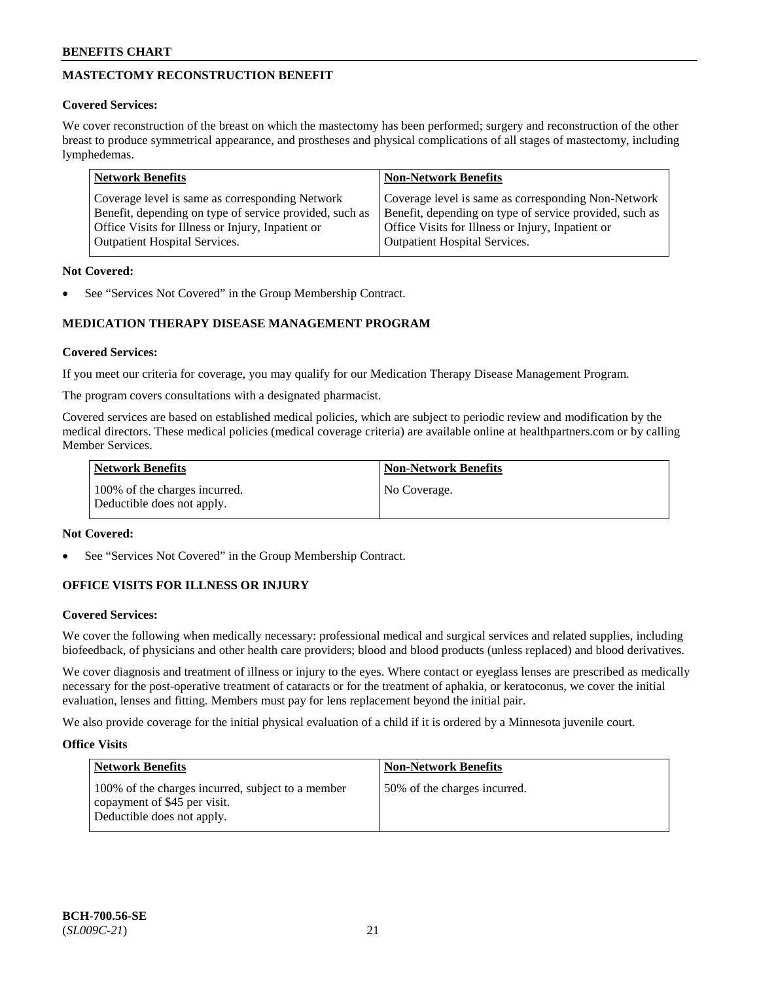# **MASTECTOMY RECONSTRUCTION BENEFIT**

# **Covered Services:**

We cover reconstruction of the breast on which the mastectomy has been performed; surgery and reconstruction of the other breast to produce symmetrical appearance, and prostheses and physical complications of all stages of mastectomy, including lymphedemas.

| <b>Network Benefits</b>                                 | <b>Non-Network Benefits</b>                             |
|---------------------------------------------------------|---------------------------------------------------------|
| Coverage level is same as corresponding Network         | Coverage level is same as corresponding Non-Network     |
| Benefit, depending on type of service provided, such as | Benefit, depending on type of service provided, such as |
| Office Visits for Illness or Injury, Inpatient or       | Office Visits for Illness or Injury, Inpatient or       |
| <b>Outpatient Hospital Services.</b>                    | <b>Outpatient Hospital Services.</b>                    |

# **Not Covered:**

See "Services Not Covered" in the Group Membership Contract.

# **MEDICATION THERAPY DISEASE MANAGEMENT PROGRAM**

# **Covered Services:**

If you meet our criteria for coverage, you may qualify for our Medication Therapy Disease Management Program.

The program covers consultations with a designated pharmacist.

Covered services are based on established medical policies, which are subject to periodic review and modification by the medical directors. These medical policies (medical coverage criteria) are available online at [healthpartners.com](https://www.healthpartners.com/hp/index.html) or by calling Member Services.

| Network Benefits                                            | <b>Non-Network Benefits</b> |
|-------------------------------------------------------------|-----------------------------|
| 100% of the charges incurred.<br>Deductible does not apply. | No Coverage.                |

# **Not Covered:**

See "Services Not Covered" in the Group Membership Contract.

# **OFFICE VISITS FOR ILLNESS OR INJURY**

# **Covered Services:**

We cover the following when medically necessary: professional medical and surgical services and related supplies, including biofeedback, of physicians and other health care providers; blood and blood products (unless replaced) and blood derivatives.

We cover diagnosis and treatment of illness or injury to the eyes. Where contact or eyeglass lenses are prescribed as medically necessary for the post-operative treatment of cataracts or for the treatment of aphakia, or keratoconus, we cover the initial evaluation, lenses and fitting. Members must pay for lens replacement beyond the initial pair.

We also provide coverage for the initial physical evaluation of a child if it is ordered by a Minnesota juvenile court.

# **Office Visits**

| <b>Network Benefits</b>                                                                                         | <b>Non-Network Benefits</b>  |
|-----------------------------------------------------------------------------------------------------------------|------------------------------|
| 100% of the charges incurred, subject to a member<br>copayment of \$45 per visit.<br>Deductible does not apply. | 50% of the charges incurred. |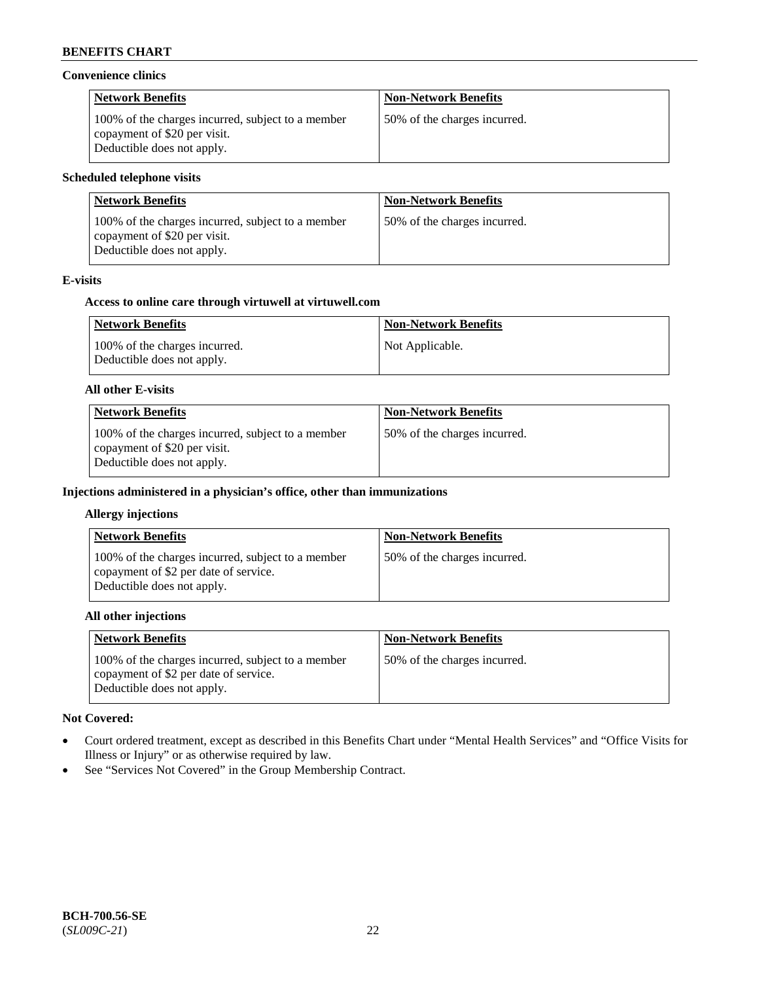### **Convenience clinics**

| <b>Network Benefits</b>                                                                                         | <b>Non-Network Benefits</b>  |
|-----------------------------------------------------------------------------------------------------------------|------------------------------|
| 100% of the charges incurred, subject to a member<br>copayment of \$20 per visit.<br>Deductible does not apply. | 50% of the charges incurred. |

### **Scheduled telephone visits**

| <b>Network Benefits</b>                                                                                         | <b>Non-Network Benefits</b>  |
|-----------------------------------------------------------------------------------------------------------------|------------------------------|
| 100% of the charges incurred, subject to a member<br>copayment of \$20 per visit.<br>Deductible does not apply. | 50% of the charges incurred. |

# **E-visits**

### **Access to online care through virtuwell at [virtuwell.com](https://www.virtuwell.com/)**

| <b>Network Benefits</b>                                     | <b>Non-Network Benefits</b> |
|-------------------------------------------------------------|-----------------------------|
| 100% of the charges incurred.<br>Deductible does not apply. | Not Applicable.             |

#### **All other E-visits**

| <b>Network Benefits</b>                                                                                         | <b>Non-Network Benefits</b>  |
|-----------------------------------------------------------------------------------------------------------------|------------------------------|
| 100% of the charges incurred, subject to a member<br>copayment of \$20 per visit.<br>Deductible does not apply. | 50% of the charges incurred. |

### **Injections administered in a physician's office, other than immunizations**

#### **Allergy injections**

| <b>Network Benefits</b>                                                                                                  | <b>Non-Network Benefits</b>  |
|--------------------------------------------------------------------------------------------------------------------------|------------------------------|
| 100% of the charges incurred, subject to a member<br>copayment of \$2 per date of service.<br>Deductible does not apply. | 50% of the charges incurred. |

#### **All other injections**

| <b>Network Benefits</b>                                                                                                  | <b>Non-Network Benefits</b>  |
|--------------------------------------------------------------------------------------------------------------------------|------------------------------|
| 100% of the charges incurred, subject to a member<br>copayment of \$2 per date of service.<br>Deductible does not apply. | 50% of the charges incurred. |

# **Not Covered:**

- Court ordered treatment, except as described in this Benefits Chart under "Mental Health Services" and "Office Visits for Illness or Injury" or as otherwise required by law.
- See "Services Not Covered" in the Group Membership Contract.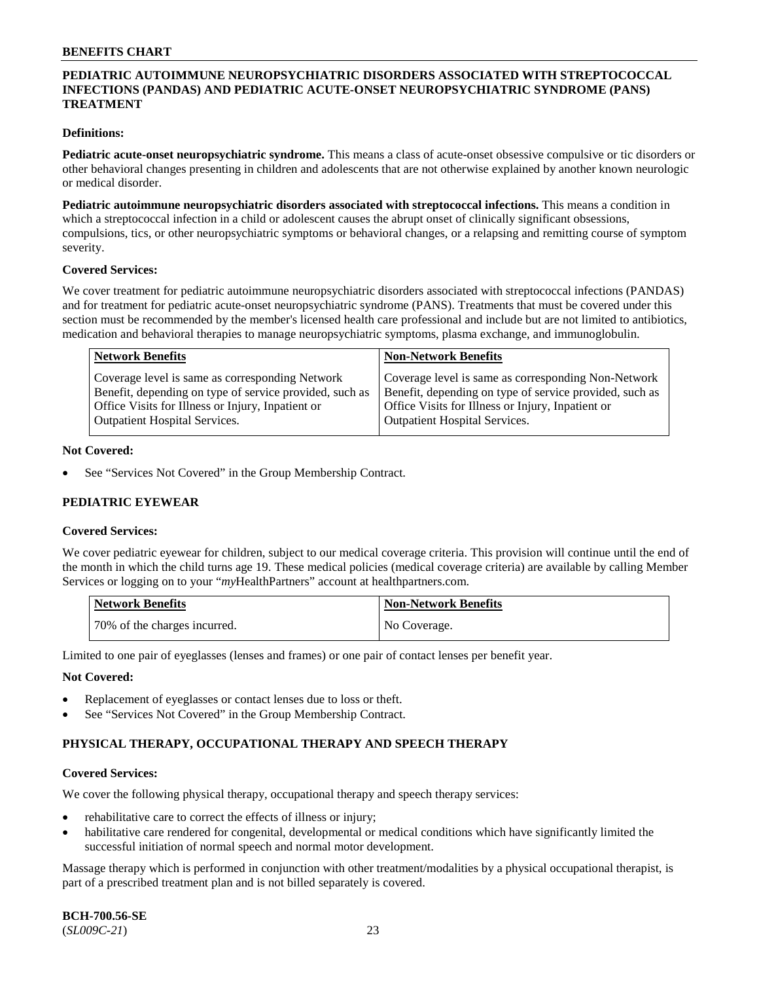# **PEDIATRIC AUTOIMMUNE NEUROPSYCHIATRIC DISORDERS ASSOCIATED WITH STREPTOCOCCAL INFECTIONS (PANDAS) AND PEDIATRIC ACUTE-ONSET NEUROPSYCHIATRIC SYNDROME (PANS) TREATMENT**

### **Definitions:**

**Pediatric acute-onset neuropsychiatric syndrome.** This means a class of acute-onset obsessive compulsive or tic disorders or other behavioral changes presenting in children and adolescents that are not otherwise explained by another known neurologic or medical disorder.

**Pediatric autoimmune neuropsychiatric disorders associated with streptococcal infections.** This means a condition in which a streptococcal infection in a child or adolescent causes the abrupt onset of clinically significant obsessions, compulsions, tics, or other neuropsychiatric symptoms or behavioral changes, or a relapsing and remitting course of symptom severity.

#### **Covered Services:**

We cover treatment for pediatric autoimmune neuropsychiatric disorders associated with streptococcal infections (PANDAS) and for treatment for pediatric acute-onset neuropsychiatric syndrome (PANS). Treatments that must be covered under this section must be recommended by the member's licensed health care professional and include but are not limited to antibiotics, medication and behavioral therapies to manage neuropsychiatric symptoms, plasma exchange, and immunoglobulin.

| <b>Network Benefits</b>                                 | <b>Non-Network Benefits</b>                             |
|---------------------------------------------------------|---------------------------------------------------------|
| Coverage level is same as corresponding Network         | Coverage level is same as corresponding Non-Network     |
| Benefit, depending on type of service provided, such as | Benefit, depending on type of service provided, such as |
| Office Visits for Illness or Injury, Inpatient or       | Office Visits for Illness or Injury, Inpatient or       |
| <b>Outpatient Hospital Services.</b>                    | <b>Outpatient Hospital Services.</b>                    |

#### **Not Covered:**

See "Services Not Covered" in the Group Membership Contract.

# **PEDIATRIC EYEWEAR**

#### **Covered Services:**

We cover pediatric eyewear for children, subject to our medical coverage criteria. This provision will continue until the end of the month in which the child turns age 19. These medical policies (medical coverage criteria) are available by calling Member Services or logging on to your "*my*HealthPartners" account at [healthpartners.com.](https://www.healthpartners.com/hp/index.html)

| Network Benefits             | <b>Non-Network Benefits</b> |
|------------------------------|-----------------------------|
| 70% of the charges incurred. | No Coverage.                |

Limited to one pair of eyeglasses (lenses and frames) or one pair of contact lenses per benefit year.

#### **Not Covered:**

- Replacement of eyeglasses or contact lenses due to loss or theft.
- See "Services Not Covered" in the Group Membership Contract.

# **PHYSICAL THERAPY, OCCUPATIONAL THERAPY AND SPEECH THERAPY**

#### **Covered Services:**

We cover the following physical therapy, occupational therapy and speech therapy services:

- rehabilitative care to correct the effects of illness or injury;
- habilitative care rendered for congenital, developmental or medical conditions which have significantly limited the successful initiation of normal speech and normal motor development.

Massage therapy which is performed in conjunction with other treatment/modalities by a physical occupational therapist, is part of a prescribed treatment plan and is not billed separately is covered.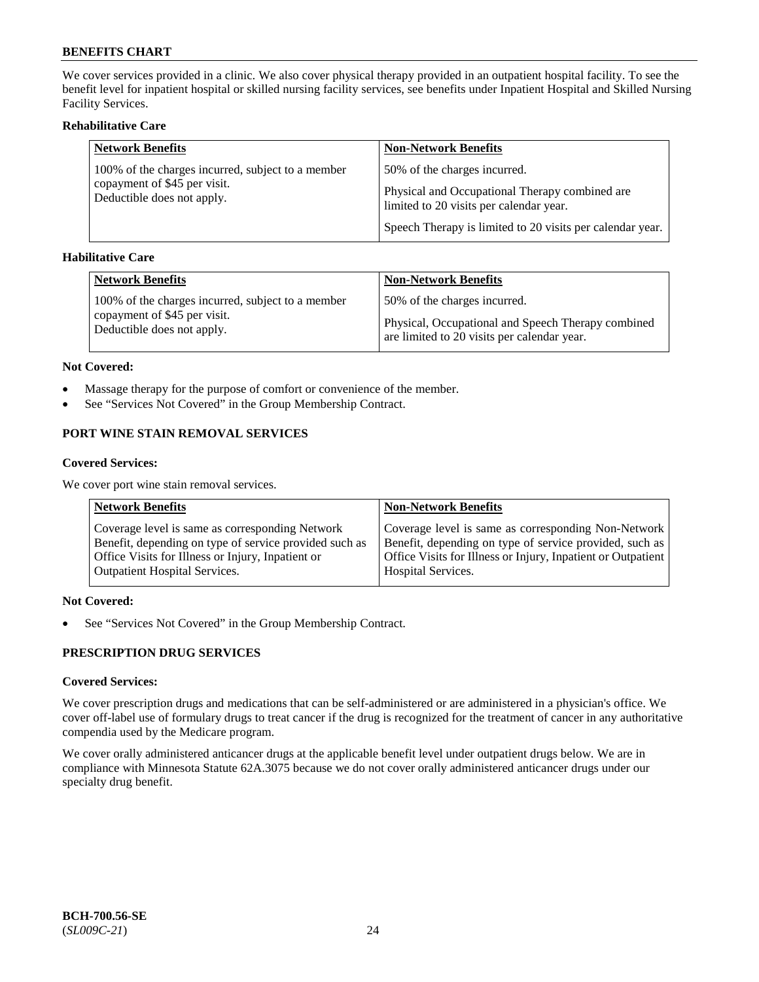We cover services provided in a clinic. We also cover physical therapy provided in an outpatient hospital facility. To see the benefit level for inpatient hospital or skilled nursing facility services, see benefits under Inpatient Hospital and Skilled Nursing Facility Services.

# **Rehabilitative Care**

| <b>Network Benefits</b>                                    | <b>Non-Network Benefits</b>                                                               |
|------------------------------------------------------------|-------------------------------------------------------------------------------------------|
| 100% of the charges incurred, subject to a member          | 50% of the charges incurred.                                                              |
| copayment of \$45 per visit.<br>Deductible does not apply. | Physical and Occupational Therapy combined are<br>limited to 20 visits per calendar year. |
|                                                            | Speech Therapy is limited to 20 visits per calendar year.                                 |

# **Habilitative Care**

| <b>Network Benefits</b>                           | <b>Non-Network Benefits</b>                        |
|---------------------------------------------------|----------------------------------------------------|
| 100% of the charges incurred, subject to a member | 50% of the charges incurred.                       |
| copayment of \$45 per visit.                      | Physical, Occupational and Speech Therapy combined |
| Deductible does not apply.                        | are limited to 20 visits per calendar year.        |

#### **Not Covered:**

- Massage therapy for the purpose of comfort or convenience of the member.
- See "Services Not Covered" in the Group Membership Contract.

# **PORT WINE STAIN REMOVAL SERVICES**

#### **Covered Services:**

We cover port wine stain removal services.

| <b>Network Benefits</b>                                | <b>Non-Network Benefits</b>                                  |
|--------------------------------------------------------|--------------------------------------------------------------|
| Coverage level is same as corresponding Network        | Coverage level is same as corresponding Non-Network          |
| Benefit, depending on type of service provided such as | Benefit, depending on type of service provided, such as      |
| Office Visits for Illness or Injury, Inpatient or      | Office Visits for Illness or Injury, Inpatient or Outpatient |
| <b>Outpatient Hospital Services.</b>                   | <b>Hospital Services.</b>                                    |

# **Not Covered:**

• See "Services Not Covered" in the Group Membership Contract.

# **PRESCRIPTION DRUG SERVICES**

# **Covered Services:**

We cover prescription drugs and medications that can be self-administered or are administered in a physician's office. We cover off-label use of formulary drugs to treat cancer if the drug is recognized for the treatment of cancer in any authoritative compendia used by the Medicare program.

We cover orally administered anticancer drugs at the applicable benefit level under outpatient drugs below. We are in compliance with Minnesota Statute 62A.3075 because we do not cover orally administered anticancer drugs under our specialty drug benefit.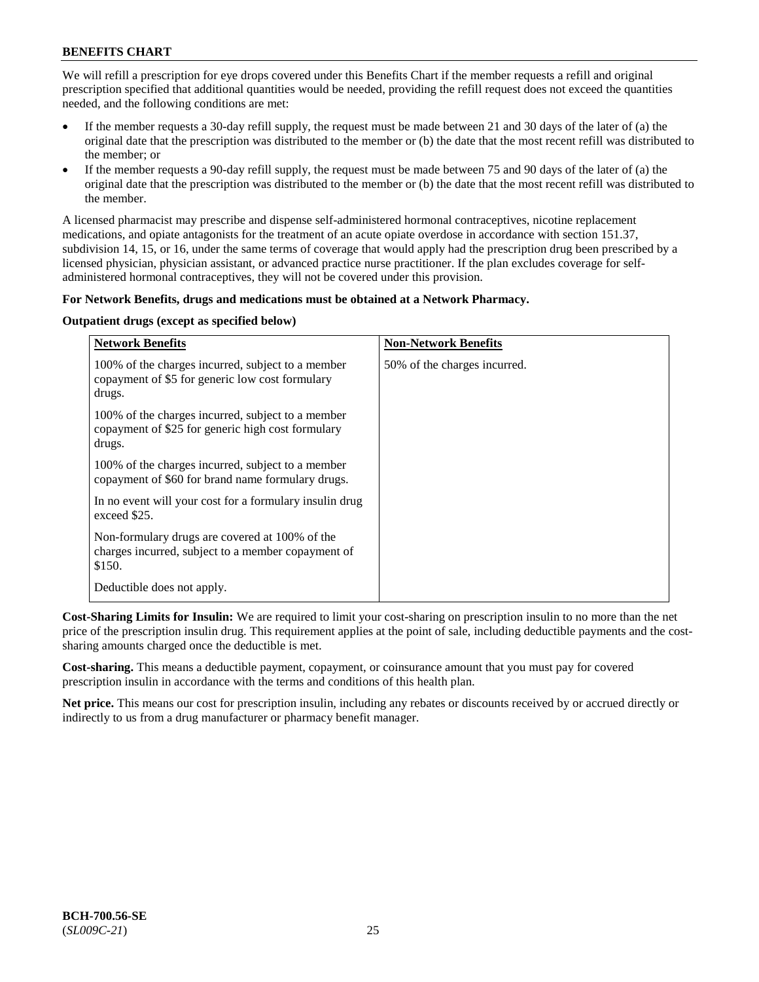We will refill a prescription for eye drops covered under this Benefits Chart if the member requests a refill and original prescription specified that additional quantities would be needed, providing the refill request does not exceed the quantities needed, and the following conditions are met:

- If the member requests a 30-day refill supply, the request must be made between 21 and 30 days of the later of (a) the original date that the prescription was distributed to the member or (b) the date that the most recent refill was distributed to the member; or
- If the member requests a 90-day refill supply, the request must be made between 75 and 90 days of the later of (a) the original date that the prescription was distributed to the member or (b) the date that the most recent refill was distributed to the member.

A licensed pharmacist may prescribe and dispense self-administered hormonal contraceptives, nicotine replacement medications, and opiate antagonists for the treatment of an acute opiate overdose in accordance with section 151.37, subdivision 14, 15, or 16, under the same terms of coverage that would apply had the prescription drug been prescribed by a licensed physician, physician assistant, or advanced practice nurse practitioner. If the plan excludes coverage for selfadministered hormonal contraceptives, they will not be covered under this provision.

# **For Network Benefits, drugs and medications must be obtained at a Network Pharmacy.**

# **Outpatient drugs (except as specified below)**

| <b>Network Benefits</b>                                                                                          | <b>Non-Network Benefits</b>  |
|------------------------------------------------------------------------------------------------------------------|------------------------------|
| 100% of the charges incurred, subject to a member<br>copayment of \$5 for generic low cost formulary<br>drugs.   | 50% of the charges incurred. |
| 100% of the charges incurred, subject to a member<br>copayment of \$25 for generic high cost formulary<br>drugs. |                              |
| 100% of the charges incurred, subject to a member<br>copayment of \$60 for brand name formulary drugs.           |                              |
| In no event will your cost for a formulary insulin drug<br>exceed \$25.                                          |                              |
| Non-formulary drugs are covered at 100% of the<br>charges incurred, subject to a member copayment of<br>\$150.   |                              |
| Deductible does not apply.                                                                                       |                              |

**Cost-Sharing Limits for Insulin:** We are required to limit your cost-sharing on prescription insulin to no more than the net price of the prescription insulin drug. This requirement applies at the point of sale, including deductible payments and the costsharing amounts charged once the deductible is met.

**Cost-sharing.** This means a deductible payment, copayment, or coinsurance amount that you must pay for covered prescription insulin in accordance with the terms and conditions of this health plan.

**Net price.** This means our cost for prescription insulin, including any rebates or discounts received by or accrued directly or indirectly to us from a drug manufacturer or pharmacy benefit manager.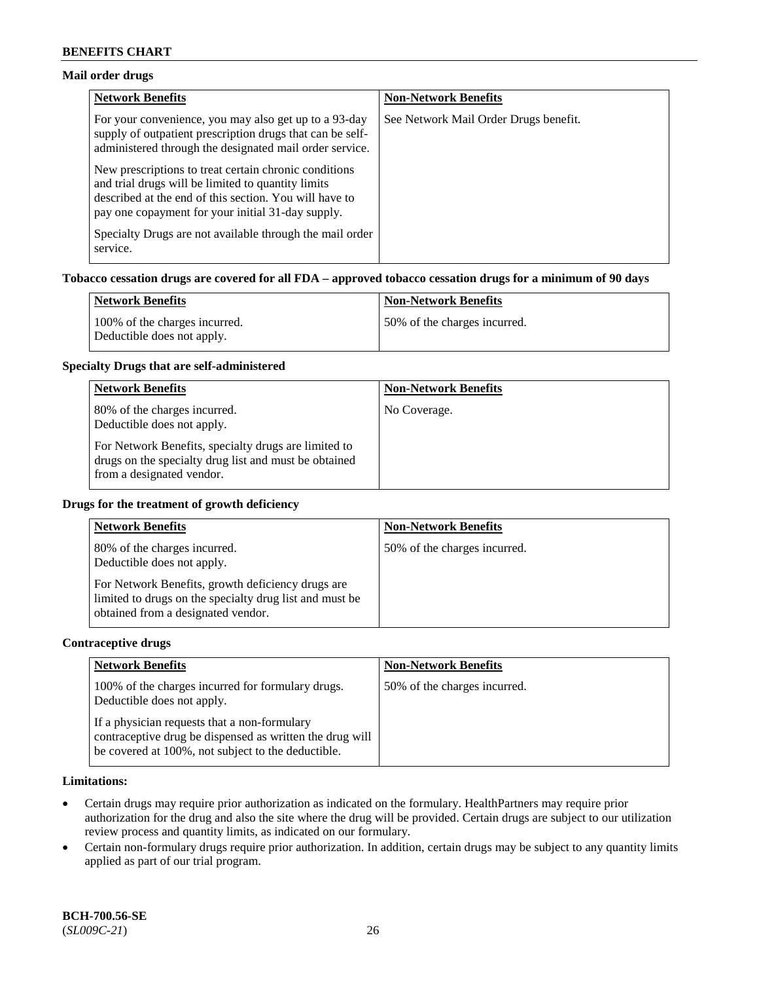# **Mail order drugs**

| <b>Network Benefits</b>                                                                                                                                                                                                    | <b>Non-Network Benefits</b>           |
|----------------------------------------------------------------------------------------------------------------------------------------------------------------------------------------------------------------------------|---------------------------------------|
| For your convenience, you may also get up to a 93-day<br>supply of outpatient prescription drugs that can be self-<br>administered through the designated mail order service.                                              | See Network Mail Order Drugs benefit. |
| New prescriptions to treat certain chronic conditions<br>and trial drugs will be limited to quantity limits<br>described at the end of this section. You will have to<br>pay one copayment for your initial 31-day supply. |                                       |
| Specialty Drugs are not available through the mail order<br>service.                                                                                                                                                       |                                       |

# **Tobacco cessation drugs are covered for all FDA – approved tobacco cessation drugs for a minimum of 90 days**

| Network Benefits                                            | <b>Non-Network Benefits</b>   |
|-------------------------------------------------------------|-------------------------------|
| 100% of the charges incurred.<br>Deductible does not apply. | 150% of the charges incurred. |

#### **Specialty Drugs that are self-administered**

| <b>Network Benefits</b>                                                                                                                    | <b>Non-Network Benefits</b> |
|--------------------------------------------------------------------------------------------------------------------------------------------|-----------------------------|
| 80% of the charges incurred.<br>Deductible does not apply.                                                                                 | No Coverage.                |
| For Network Benefits, specialty drugs are limited to<br>drugs on the specialty drug list and must be obtained<br>from a designated vendor. |                             |

### **Drugs for the treatment of growth deficiency**

| <b>Network Benefits</b>                                                                                                                            | <b>Non-Network Benefits</b>  |
|----------------------------------------------------------------------------------------------------------------------------------------------------|------------------------------|
| 80% of the charges incurred.<br>Deductible does not apply.                                                                                         | 50% of the charges incurred. |
| For Network Benefits, growth deficiency drugs are<br>limited to drugs on the specialty drug list and must be<br>obtained from a designated vendor. |                              |

#### **Contraceptive drugs**

| <b>Network Benefits</b>                                                                                                                                        | <b>Non-Network Benefits</b>  |
|----------------------------------------------------------------------------------------------------------------------------------------------------------------|------------------------------|
| 100% of the charges incurred for formulary drugs.<br>Deductible does not apply.                                                                                | 50% of the charges incurred. |
| If a physician requests that a non-formulary<br>contraceptive drug be dispensed as written the drug will<br>be covered at 100%, not subject to the deductible. |                              |

# **Limitations:**

- Certain drugs may require prior authorization as indicated on the formulary. HealthPartners may require prior authorization for the drug and also the site where the drug will be provided. Certain drugs are subject to our utilization review process and quantity limits, as indicated on our formulary.
- Certain non-formulary drugs require prior authorization. In addition, certain drugs may be subject to any quantity limits applied as part of our trial program.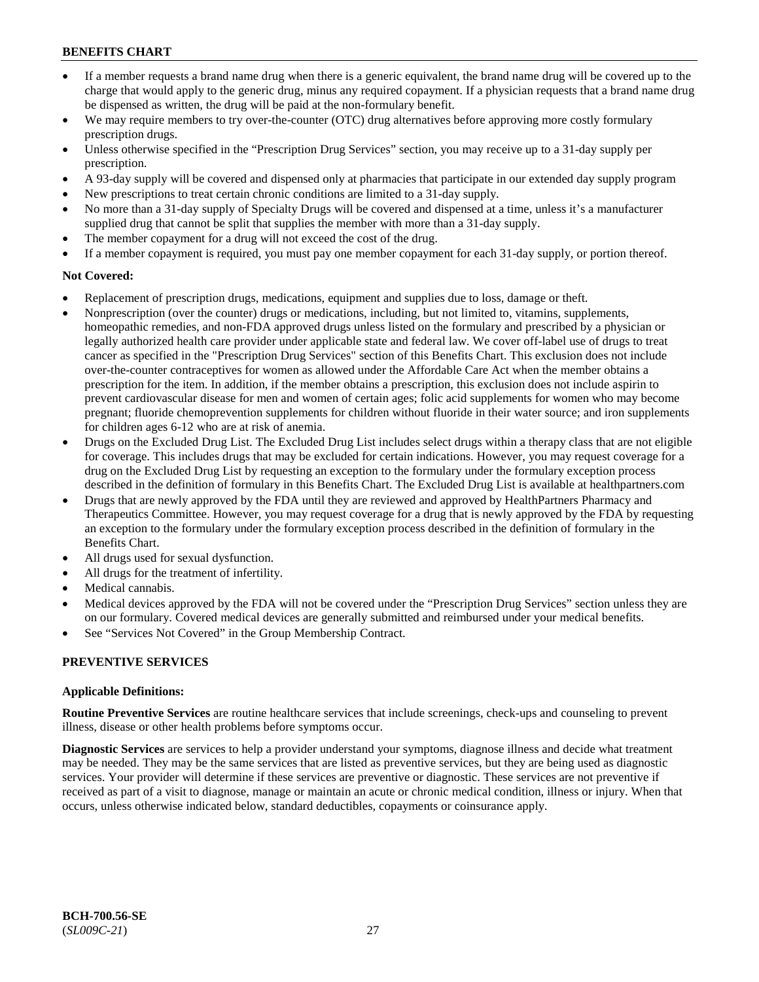- If a member requests a brand name drug when there is a generic equivalent, the brand name drug will be covered up to the charge that would apply to the generic drug, minus any required copayment. If a physician requests that a brand name drug be dispensed as written, the drug will be paid at the non-formulary benefit.
- We may require members to try over-the-counter (OTC) drug alternatives before approving more costly formulary prescription drugs.
- Unless otherwise specified in the "Prescription Drug Services" section, you may receive up to a 31-day supply per prescription.
- A 93-day supply will be covered and dispensed only at pharmacies that participate in our extended day supply program
- New prescriptions to treat certain chronic conditions are limited to a 31-day supply.
- No more than a 31-day supply of Specialty Drugs will be covered and dispensed at a time, unless it's a manufacturer supplied drug that cannot be split that supplies the member with more than a 31-day supply.
- The member copayment for a drug will not exceed the cost of the drug.
- If a member copayment is required, you must pay one member copayment for each 31-day supply, or portion thereof.

# **Not Covered:**

- Replacement of prescription drugs, medications, equipment and supplies due to loss, damage or theft.
- Nonprescription (over the counter) drugs or medications, including, but not limited to, vitamins, supplements, homeopathic remedies, and non-FDA approved drugs unless listed on the formulary and prescribed by a physician or legally authorized health care provider under applicable state and federal law. We cover off-label use of drugs to treat cancer as specified in the "Prescription Drug Services" section of this Benefits Chart. This exclusion does not include over-the-counter contraceptives for women as allowed under the Affordable Care Act when the member obtains a prescription for the item. In addition, if the member obtains a prescription, this exclusion does not include aspirin to prevent cardiovascular disease for men and women of certain ages; folic acid supplements for women who may become pregnant; fluoride chemoprevention supplements for children without fluoride in their water source; and iron supplements for children ages 6-12 who are at risk of anemia.
- Drugs on the Excluded Drug List. The Excluded Drug List includes select drugs within a therapy class that are not eligible for coverage. This includes drugs that may be excluded for certain indications. However, you may request coverage for a drug on the Excluded Drug List by requesting an exception to the formulary under the formulary exception process described in the definition of formulary in this Benefits Chart. The Excluded Drug List is available at [healthpartners.com](http://www.healthpartners.com/)
- Drugs that are newly approved by the FDA until they are reviewed and approved by HealthPartners Pharmacy and Therapeutics Committee. However, you may request coverage for a drug that is newly approved by the FDA by requesting an exception to the formulary under the formulary exception process described in the definition of formulary in the Benefits Chart.
- All drugs used for sexual dysfunction.
- All drugs for the treatment of infertility.
- Medical cannabis.
- Medical devices approved by the FDA will not be covered under the "Prescription Drug Services" section unless they are on our formulary. Covered medical devices are generally submitted and reimbursed under your medical benefits.
- See "Services Not Covered" in the Group Membership Contract.

# **PREVENTIVE SERVICES**

# **Applicable Definitions:**

**Routine Preventive Services** are routine healthcare services that include screenings, check-ups and counseling to prevent illness, disease or other health problems before symptoms occur.

**Diagnostic Services** are services to help a provider understand your symptoms, diagnose illness and decide what treatment may be needed. They may be the same services that are listed as preventive services, but they are being used as diagnostic services. Your provider will determine if these services are preventive or diagnostic. These services are not preventive if received as part of a visit to diagnose, manage or maintain an acute or chronic medical condition, illness or injury. When that occurs, unless otherwise indicated below, standard deductibles, copayments or coinsurance apply.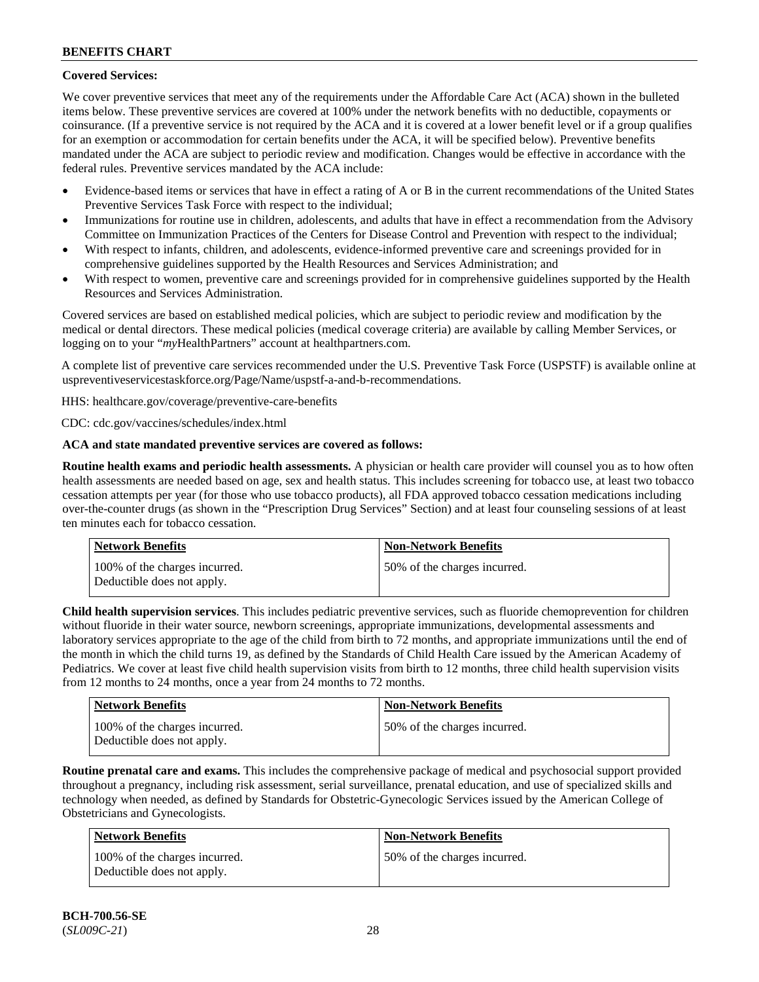# **Covered Services:**

We cover preventive services that meet any of the requirements under the Affordable Care Act (ACA) shown in the bulleted items below. These preventive services are covered at 100% under the network benefits with no deductible, copayments or coinsurance. (If a preventive service is not required by the ACA and it is covered at a lower benefit level or if a group qualifies for an exemption or accommodation for certain benefits under the ACA, it will be specified below). Preventive benefits mandated under the ACA are subject to periodic review and modification. Changes would be effective in accordance with the federal rules. Preventive services mandated by the ACA include:

- Evidence-based items or services that have in effect a rating of A or B in the current recommendations of the United States Preventive Services Task Force with respect to the individual;
- Immunizations for routine use in children, adolescents, and adults that have in effect a recommendation from the Advisory Committee on Immunization Practices of the Centers for Disease Control and Prevention with respect to the individual;
- With respect to infants, children, and adolescents, evidence-informed preventive care and screenings provided for in comprehensive guidelines supported by the Health Resources and Services Administration; and
- With respect to women, preventive care and screenings provided for in comprehensive guidelines supported by the Health Resources and Services Administration.

Covered services are based on established medical policies, which are subject to periodic review and modification by the medical or dental directors. These medical policies (medical coverage criteria) are available by calling Member Services, or logging on to your "*my*HealthPartners" account at [healthpartners.com.](http://www.healthpartners.com/)

A complete list of preventive care services recommended under the U.S. Preventive Task Force (USPSTF) is available online at [uspreventiveservicestaskforce.org/Page/Name/uspstf-a-and-b-recommendations.](https://www.uspreventiveservicestaskforce.org/Page/Name/uspstf-a-and-b-recommendations-by-date/)

HHS: [healthcare.gov/coverage/preventive-care-benefits](https://www.healthcare.gov/coverage/preventive-care-benefits/)

CDC: [cdc.gov/vaccines/schedules/index.html](https://www.cdc.gov/vaccines/schedules/index.html)

# **ACA and state mandated preventive services are covered as follows:**

**Routine health exams and periodic health assessments.** A physician or health care provider will counsel you as to how often health assessments are needed based on age, sex and health status. This includes screening for tobacco use, at least two tobacco cessation attempts per year (for those who use tobacco products), all FDA approved tobacco cessation medications including over-the-counter drugs (as shown in the "Prescription Drug Services" Section) and at least four counseling sessions of at least ten minutes each for tobacco cessation.

| Network Benefits                                            | <b>Non-Network Benefits</b>  |
|-------------------------------------------------------------|------------------------------|
| 100% of the charges incurred.<br>Deductible does not apply. | 50% of the charges incurred. |

**Child health supervision services**. This includes pediatric preventive services, such as fluoride chemoprevention for children without fluoride in their water source, newborn screenings, appropriate immunizations, developmental assessments and laboratory services appropriate to the age of the child from birth to 72 months, and appropriate immunizations until the end of the month in which the child turns 19, as defined by the Standards of Child Health Care issued by the American Academy of Pediatrics. We cover at least five child health supervision visits from birth to 12 months, three child health supervision visits from 12 months to 24 months, once a year from 24 months to 72 months.

| <b>Network Benefits</b>                                     | Non-Network Benefits         |
|-------------------------------------------------------------|------------------------------|
| 100% of the charges incurred.<br>Deductible does not apply. | 50% of the charges incurred. |

**Routine prenatal care and exams.** This includes the comprehensive package of medical and psychosocial support provided throughout a pregnancy, including risk assessment, serial surveillance, prenatal education, and use of specialized skills and technology when needed, as defined by Standards for Obstetric-Gynecologic Services issued by the American College of Obstetricians and Gynecologists.

| Network Benefits                                            | <b>Non-Network Benefits</b>  |
|-------------------------------------------------------------|------------------------------|
| 100% of the charges incurred.<br>Deductible does not apply. | 50% of the charges incurred. |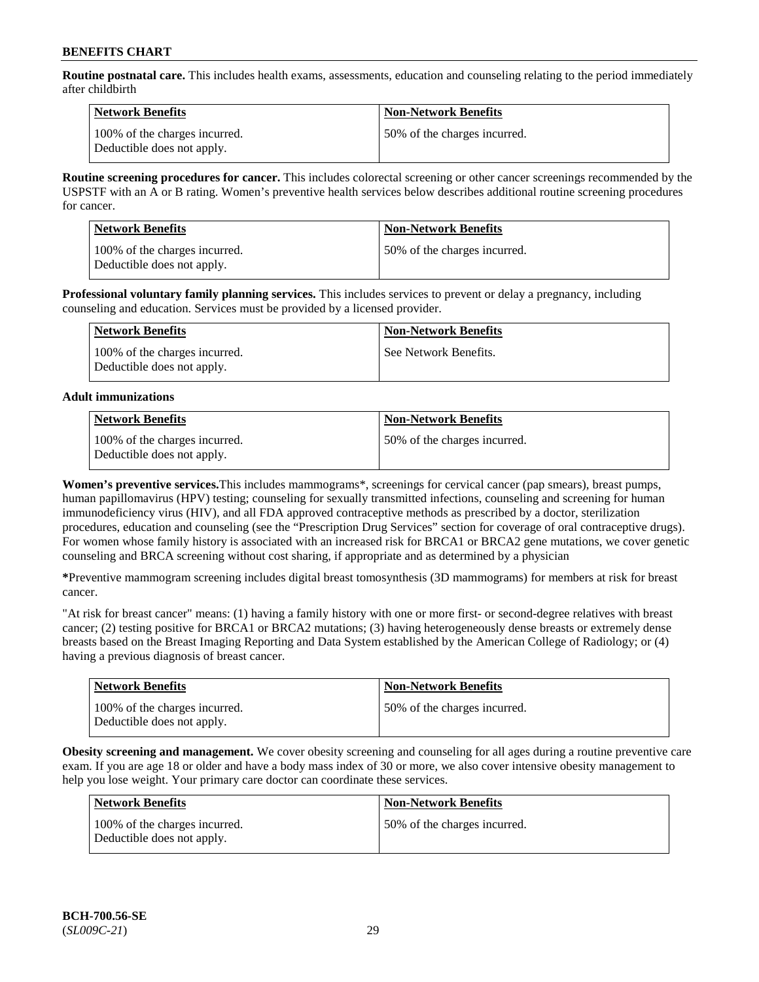**Routine postnatal care.** This includes health exams, assessments, education and counseling relating to the period immediately after childbirth

| Network Benefits                                            | <b>Non-Network Benefits</b>  |
|-------------------------------------------------------------|------------------------------|
| 100% of the charges incurred.<br>Deductible does not apply. | 50% of the charges incurred. |

**Routine screening procedures for cancer.** This includes colorectal screening or other cancer screenings recommended by the USPSTF with an A or B rating. Women's preventive health services below describes additional routine screening procedures for cancer.

| <b>Network Benefits</b>                                     | <b>Non-Network Benefits</b>  |
|-------------------------------------------------------------|------------------------------|
| 100% of the charges incurred.<br>Deductible does not apply. | 50% of the charges incurred. |

**Professional voluntary family planning services.** This includes services to prevent or delay a pregnancy, including counseling and education. Services must be provided by a licensed provider.

| Network Benefits                                            | <b>Non-Network Benefits</b> |
|-------------------------------------------------------------|-----------------------------|
| 100% of the charges incurred.<br>Deductible does not apply. | See Network Benefits.       |

### **Adult immunizations**

| <b>Network Benefits</b>                                     | <b>Non-Network Benefits</b>  |
|-------------------------------------------------------------|------------------------------|
| 100% of the charges incurred.<br>Deductible does not apply. | 50% of the charges incurred. |

**Women's preventive services.**This includes mammograms\*, screenings for cervical cancer (pap smears), breast pumps, human papillomavirus (HPV) testing; counseling for sexually transmitted infections, counseling and screening for human immunodeficiency virus (HIV), and all FDA approved contraceptive methods as prescribed by a doctor, sterilization procedures, education and counseling (see the "Prescription Drug Services" section for coverage of oral contraceptive drugs). For women whose family history is associated with an increased risk for BRCA1 or BRCA2 gene mutations, we cover genetic counseling and BRCA screening without cost sharing, if appropriate and as determined by a physician

**\***Preventive mammogram screening includes digital breast tomosynthesis (3D mammograms) for members at risk for breast cancer.

"At risk for breast cancer" means: (1) having a family history with one or more first- or second-degree relatives with breast cancer; (2) testing positive for BRCA1 or BRCA2 mutations; (3) having heterogeneously dense breasts or extremely dense breasts based on the Breast Imaging Reporting and Data System established by the American College of Radiology; or (4) having a previous diagnosis of breast cancer.

| <b>Network Benefits</b>                                     | <b>Non-Network Benefits</b>  |
|-------------------------------------------------------------|------------------------------|
| 100% of the charges incurred.<br>Deductible does not apply. | 50% of the charges incurred. |

**Obesity screening and management.** We cover obesity screening and counseling for all ages during a routine preventive care exam. If you are age 18 or older and have a body mass index of 30 or more, we also cover intensive obesity management to help you lose weight. Your primary care doctor can coordinate these services.

| <b>Network Benefits</b>                                     | <b>Non-Network Benefits</b>  |
|-------------------------------------------------------------|------------------------------|
| 100% of the charges incurred.<br>Deductible does not apply. | 50% of the charges incurred. |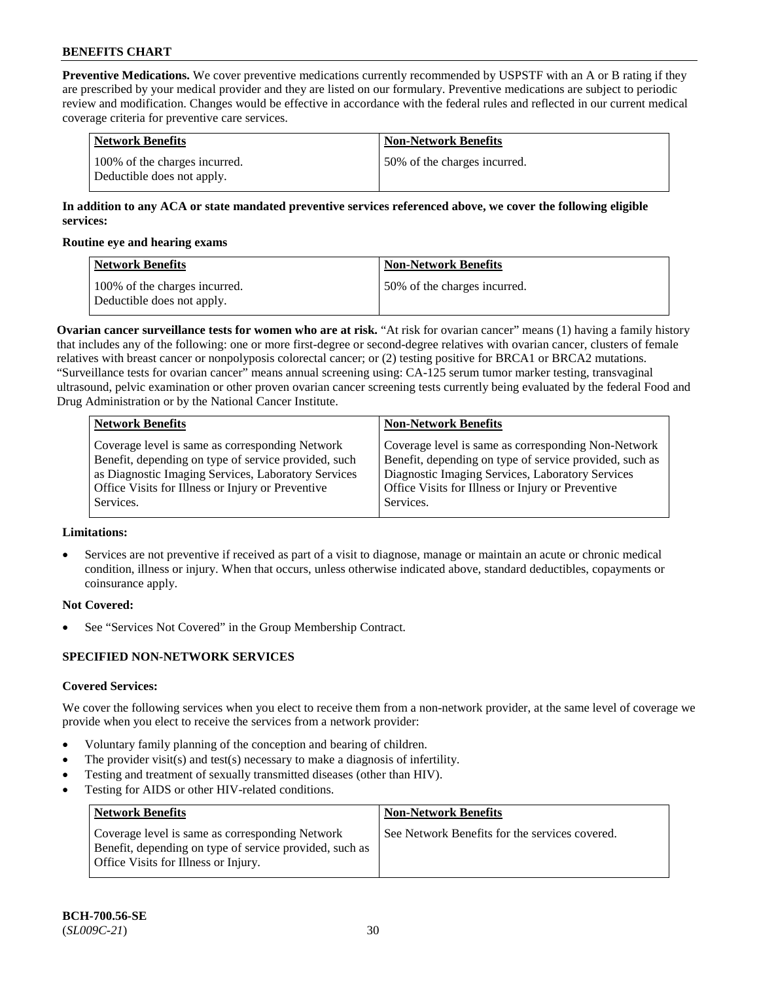**Preventive Medications.** We cover preventive medications currently recommended by USPSTF with an A or B rating if they are prescribed by your medical provider and they are listed on our formulary. Preventive medications are subject to periodic review and modification. Changes would be effective in accordance with the federal rules and reflected in our current medical coverage criteria for preventive care services.

| Network Benefits                                            | <b>Non-Network Benefits</b>  |
|-------------------------------------------------------------|------------------------------|
| 100% of the charges incurred.<br>Deductible does not apply. | 50% of the charges incurred. |

# **In addition to any ACA or state mandated preventive services referenced above, we cover the following eligible services:**

#### **Routine eye and hearing exams**

| <b>Network Benefits</b>                                     | <b>Non-Network Benefits</b>  |
|-------------------------------------------------------------|------------------------------|
| 100% of the charges incurred.<br>Deductible does not apply. | 50% of the charges incurred. |

**Ovarian cancer surveillance tests for women who are at risk.** "At risk for ovarian cancer" means (1) having a family history that includes any of the following: one or more first-degree or second-degree relatives with ovarian cancer, clusters of female relatives with breast cancer or nonpolyposis colorectal cancer; or (2) testing positive for BRCA1 or BRCA2 mutations. "Surveillance tests for ovarian cancer" means annual screening using: CA-125 serum tumor marker testing, transvaginal ultrasound, pelvic examination or other proven ovarian cancer screening tests currently being evaluated by the federal Food and Drug Administration or by the National Cancer Institute.

| <b>Network Benefits</b>                              | <b>Non-Network Benefits</b>                             |
|------------------------------------------------------|---------------------------------------------------------|
| Coverage level is same as corresponding Network      | Coverage level is same as corresponding Non-Network     |
| Benefit, depending on type of service provided, such | Benefit, depending on type of service provided, such as |
| as Diagnostic Imaging Services, Laboratory Services  | Diagnostic Imaging Services, Laboratory Services        |
| Office Visits for Illness or Injury or Preventive    | Office Visits for Illness or Injury or Preventive       |
| Services.                                            | Services.                                               |

# **Limitations:**

• Services are not preventive if received as part of a visit to diagnose, manage or maintain an acute or chronic medical condition, illness or injury. When that occurs, unless otherwise indicated above, standard deductibles, copayments or coinsurance apply.

# **Not Covered:**

See "Services Not Covered" in the Group Membership Contract.

# **SPECIFIED NON-NETWORK SERVICES**

# **Covered Services:**

We cover the following services when you elect to receive them from a non-network provider, at the same level of coverage we provide when you elect to receive the services from a network provider:

- Voluntary family planning of the conception and bearing of children.
- The provider visit(s) and test(s) necessary to make a diagnosis of infertility.
- Testing and treatment of sexually transmitted diseases (other than HIV).
- Testing for AIDS or other HIV-related conditions.

| <b>Network Benefits</b>                                                                                                                            | <b>Non-Network Benefits</b>                    |
|----------------------------------------------------------------------------------------------------------------------------------------------------|------------------------------------------------|
| Coverage level is same as corresponding Network<br>Benefit, depending on type of service provided, such as<br>Office Visits for Illness or Injury. | See Network Benefits for the services covered. |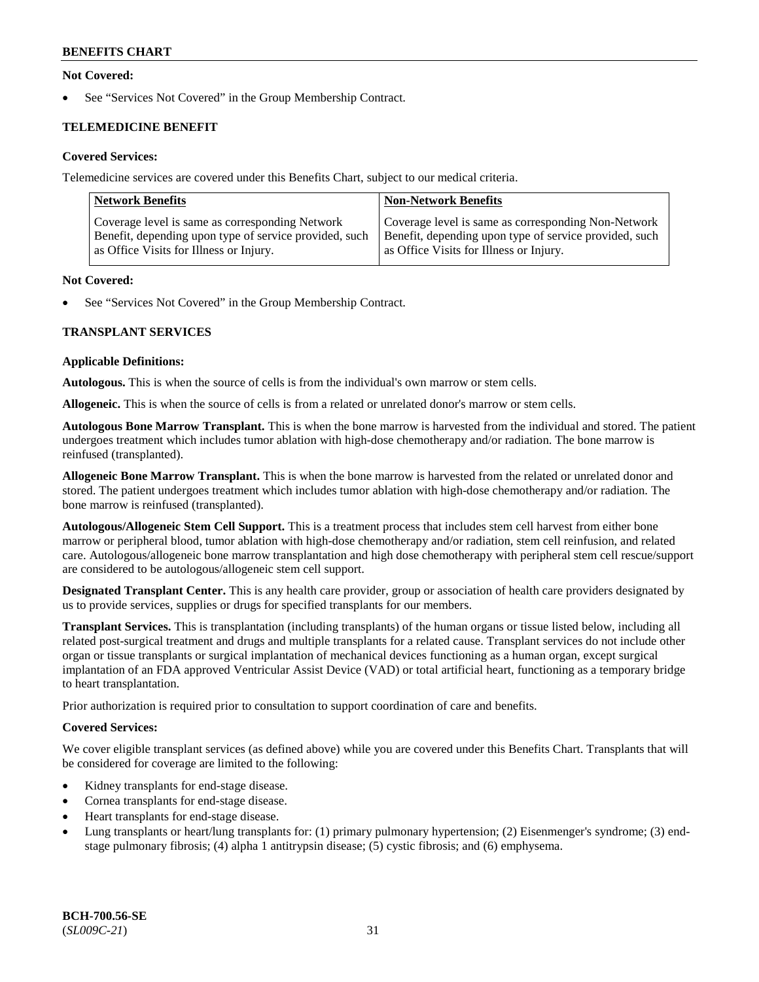# **Not Covered:**

See "Services Not Covered" in the Group Membership Contract.

# **TELEMEDICINE BENEFIT**

# **Covered Services:**

Telemedicine services are covered under this Benefits Chart, subject to our medical criteria.

| <b>Network Benefits</b>                                | <b>Non-Network Benefits</b>                            |
|--------------------------------------------------------|--------------------------------------------------------|
| Coverage level is same as corresponding Network        | Coverage level is same as corresponding Non-Network    |
| Benefit, depending upon type of service provided, such | Benefit, depending upon type of service provided, such |
| as Office Visits for Illness or Injury.                | as Office Visits for Illness or Injury.                |

#### **Not Covered:**

See "Services Not Covered" in the Group Membership Contract.

# **TRANSPLANT SERVICES**

#### **Applicable Definitions:**

**Autologous.** This is when the source of cells is from the individual's own marrow or stem cells.

**Allogeneic.** This is when the source of cells is from a related or unrelated donor's marrow or stem cells.

**Autologous Bone Marrow Transplant.** This is when the bone marrow is harvested from the individual and stored. The patient undergoes treatment which includes tumor ablation with high-dose chemotherapy and/or radiation. The bone marrow is reinfused (transplanted).

**Allogeneic Bone Marrow Transplant.** This is when the bone marrow is harvested from the related or unrelated donor and stored. The patient undergoes treatment which includes tumor ablation with high-dose chemotherapy and/or radiation. The bone marrow is reinfused (transplanted).

**Autologous/Allogeneic Stem Cell Support.** This is a treatment process that includes stem cell harvest from either bone marrow or peripheral blood, tumor ablation with high-dose chemotherapy and/or radiation, stem cell reinfusion, and related care. Autologous/allogeneic bone marrow transplantation and high dose chemotherapy with peripheral stem cell rescue/support are considered to be autologous/allogeneic stem cell support.

**Designated Transplant Center.** This is any health care provider, group or association of health care providers designated by us to provide services, supplies or drugs for specified transplants for our members.

**Transplant Services.** This is transplantation (including transplants) of the human organs or tissue listed below, including all related post-surgical treatment and drugs and multiple transplants for a related cause. Transplant services do not include other organ or tissue transplants or surgical implantation of mechanical devices functioning as a human organ, except surgical implantation of an FDA approved Ventricular Assist Device (VAD) or total artificial heart, functioning as a temporary bridge to heart transplantation.

Prior authorization is required prior to consultation to support coordination of care and benefits.

# **Covered Services:**

We cover eligible transplant services (as defined above) while you are covered under this Benefits Chart. Transplants that will be considered for coverage are limited to the following:

- Kidney transplants for end-stage disease.
- Cornea transplants for end-stage disease.
- Heart transplants for end-stage disease.
- Lung transplants or heart/lung transplants for: (1) primary pulmonary hypertension; (2) Eisenmenger's syndrome; (3) endstage pulmonary fibrosis; (4) alpha 1 antitrypsin disease; (5) cystic fibrosis; and (6) emphysema.